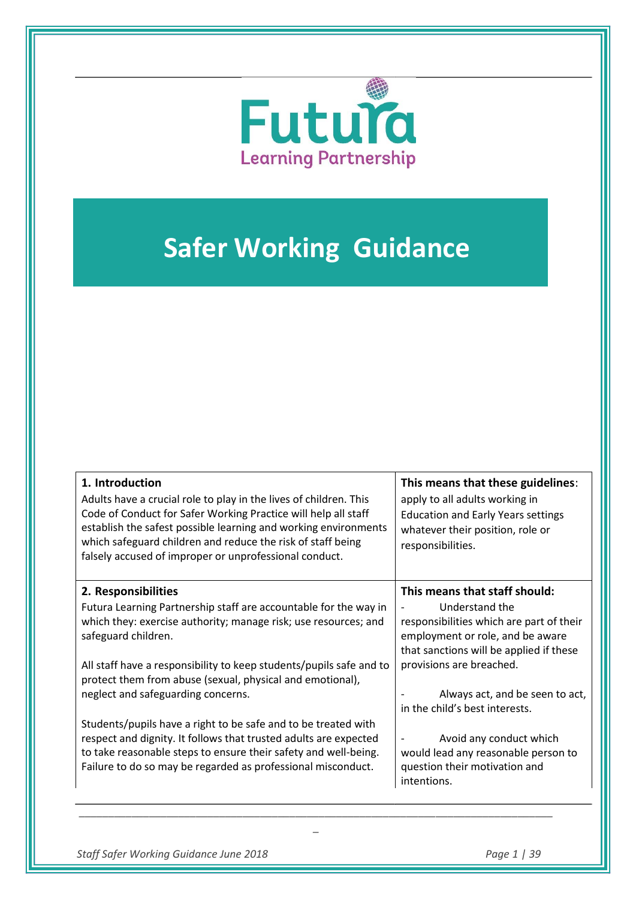

# **Safer Working Guidance**

| 1. Introduction<br>Adults have a crucial role to play in the lives of children. This<br>Code of Conduct for Safer Working Practice will help all staff<br>establish the safest possible learning and working environments<br>which safeguard children and reduce the risk of staff being<br>falsely accused of improper or unprofessional conduct. | This means that these guidelines:<br>apply to all adults working in<br><b>Education and Early Years settings</b><br>whatever their position, role or<br>responsibilities. |
|----------------------------------------------------------------------------------------------------------------------------------------------------------------------------------------------------------------------------------------------------------------------------------------------------------------------------------------------------|---------------------------------------------------------------------------------------------------------------------------------------------------------------------------|
| 2. Responsibilities                                                                                                                                                                                                                                                                                                                                | This means that staff should:                                                                                                                                             |
| Futura Learning Partnership staff are accountable for the way in<br>which they: exercise authority; manage risk; use resources; and<br>safeguard children.                                                                                                                                                                                         | Understand the<br>responsibilities which are part of their<br>employment or role, and be aware<br>that sanctions will be applied if these                                 |
| All staff have a responsibility to keep students/pupils safe and to<br>protect them from abuse (sexual, physical and emotional),<br>neglect and safeguarding concerns.                                                                                                                                                                             | provisions are breached.<br>Always act, and be seen to act,                                                                                                               |
|                                                                                                                                                                                                                                                                                                                                                    | in the child's best interests.                                                                                                                                            |
| Students/pupils have a right to be safe and to be treated with<br>respect and dignity. It follows that trusted adults are expected<br>to take reasonable steps to ensure their safety and well-being.<br>Failure to do so may be regarded as professional misconduct.                                                                              | Avoid any conduct which<br>would lead any reasonable person to<br>question their motivation and<br>intentions.                                                            |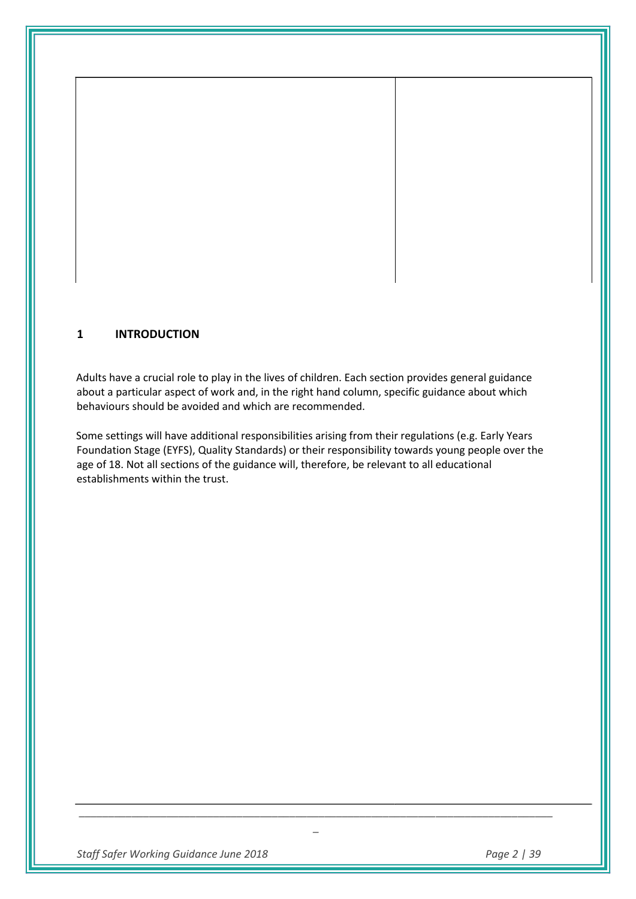# **1 INTRODUCTION**

Adults have a crucial role to play in the lives of children. Each section provides general guidance about a particular aspect of work and, in the right hand column, specific guidance about which behaviours should be avoided and which are recommended.

Some settings will have additional responsibilities arising from their regulations (e.g. Early Years Foundation Stage (EYFS), Quality Standards) or their responsibility towards young people over the age of 18. Not all sections of the guidance will, therefore, be relevant to all educational establishments within the trust.

*\_\_\_\_\_\_\_\_\_\_\_\_\_\_\_\_\_\_\_\_\_\_\_\_\_\_\_\_\_\_\_\_\_\_\_\_\_\_\_\_\_\_\_\_\_\_\_\_\_\_\_\_\_\_\_\_\_\_\_\_\_\_\_\_\_\_\_\_\_\_\_\_\_\_\_\_\_\_\_\_\_ \_* 

*Staff Safer Working Guidance June 2018 Page 2 | 39*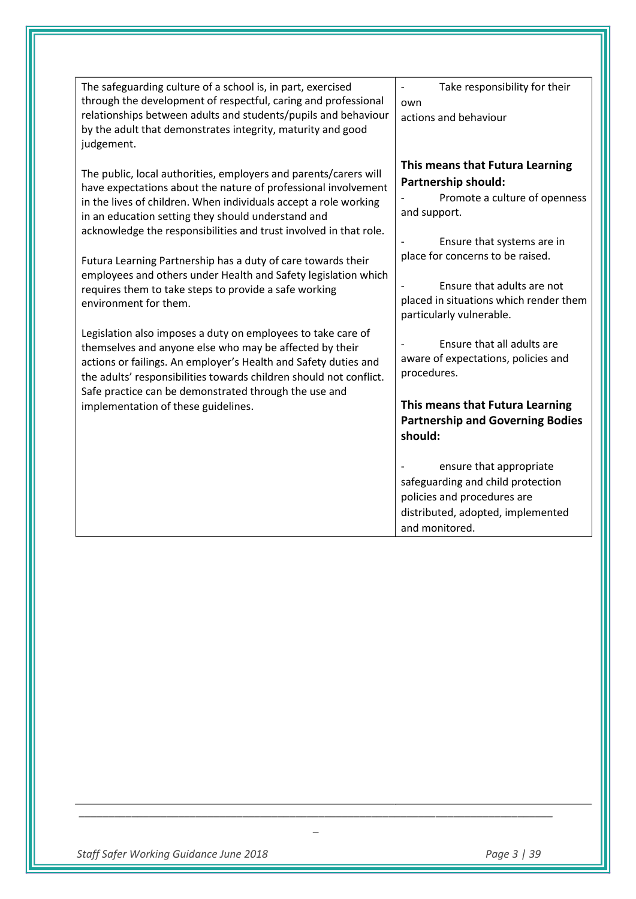| The safeguarding culture of a school is, in part, exercised                                                                           | Take responsibility for their<br>$\overline{\phantom{a}}$         |
|---------------------------------------------------------------------------------------------------------------------------------------|-------------------------------------------------------------------|
| through the development of respectful, caring and professional                                                                        | own                                                               |
| relationships between adults and students/pupils and behaviour                                                                        | actions and behaviour                                             |
| by the adult that demonstrates integrity, maturity and good                                                                           |                                                                   |
| judgement.                                                                                                                            |                                                                   |
| The public, local authorities, employers and parents/carers will                                                                      | This means that Futura Learning                                   |
| have expectations about the nature of professional involvement                                                                        | Partnership should:                                               |
| in the lives of children. When individuals accept a role working                                                                      | Promote a culture of openness<br>and support.                     |
| in an education setting they should understand and<br>acknowledge the responsibilities and trust involved in that role.               |                                                                   |
|                                                                                                                                       | Ensure that systems are in                                        |
| Futura Learning Partnership has a duty of care towards their                                                                          | place for concerns to be raised.                                  |
| employees and others under Health and Safety legislation which                                                                        | Ensure that adults are not                                        |
| requires them to take steps to provide a safe working<br>environment for them.                                                        | placed in situations which render them                            |
|                                                                                                                                       | particularly vulnerable.                                          |
| Legislation also imposes a duty on employees to take care of                                                                          |                                                                   |
| themselves and anyone else who may be affected by their                                                                               | Ensure that all adults are<br>aware of expectations, policies and |
| actions or failings. An employer's Health and Safety duties and<br>the adults' responsibilities towards children should not conflict. | procedures.                                                       |
| Safe practice can be demonstrated through the use and                                                                                 |                                                                   |
| implementation of these guidelines.                                                                                                   | This means that Futura Learning                                   |
|                                                                                                                                       | <b>Partnership and Governing Bodies</b>                           |
|                                                                                                                                       | should:                                                           |
|                                                                                                                                       | ensure that appropriate                                           |
|                                                                                                                                       | safeguarding and child protection                                 |
|                                                                                                                                       | policies and procedures are                                       |
|                                                                                                                                       | distributed, adopted, implemented                                 |
|                                                                                                                                       | and monitored.                                                    |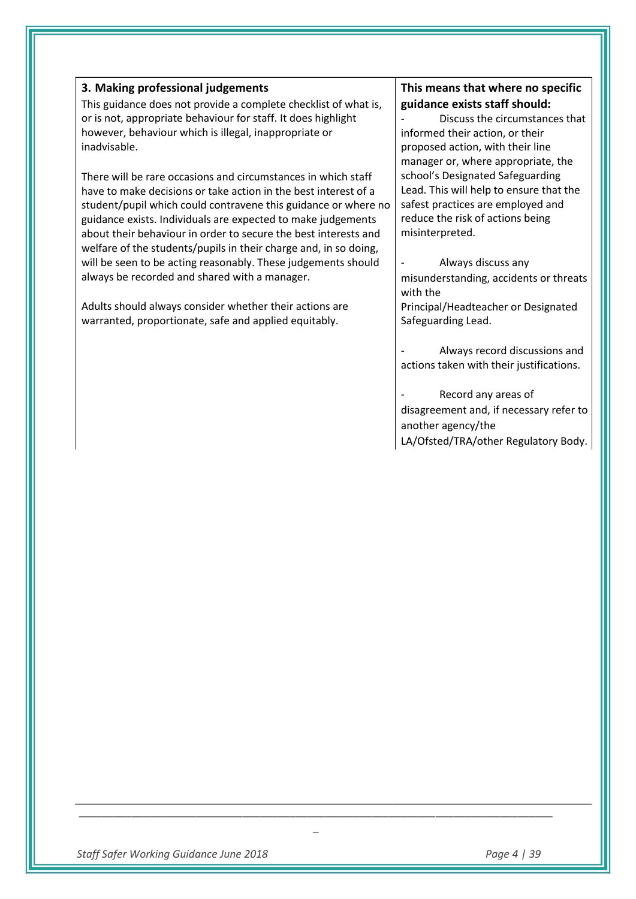#### **3. Making professional judgements**

This guidance does not provide a complete checklist of what is, or is not, appropriate behaviour for staff. It does highlight however, behaviour which is illegal, inappropriate or inadvisable.

There will be rare occasions and circumstances in which staff have to make decisions or take action in the best interest of a student/pupil which could contravene this guidance or where no guidance exists. Individuals are expected to make judgements about their behaviour in order to secure the best interests and welfare of the students/pupils in their charge and, in so doing, will be seen to be acting reasonably. These judgements should always be recorded and shared with a manager.

Adults should always consider whether their actions are warranted, proportionate, safe and applied equitably.

# **This means that where no specific guidance exists staff should:**

Discuss the circumstances that informed their action, or their proposed action, with their line manager or, where appropriate, the school's Designated Safeguarding Lead. This will help to ensure that the safest practices are employed and reduce the risk of actions being misinterpreted.

Always discuss any misunderstanding, accidents or threats with the

Principal/Headteacher or Designated Safeguarding Lead.

- Always record discussions and actions taken with their justifications.

Record any areas of disagreement and, if necessary refer to another agency/the LA/Ofsted/TRA/other Regulatory Body.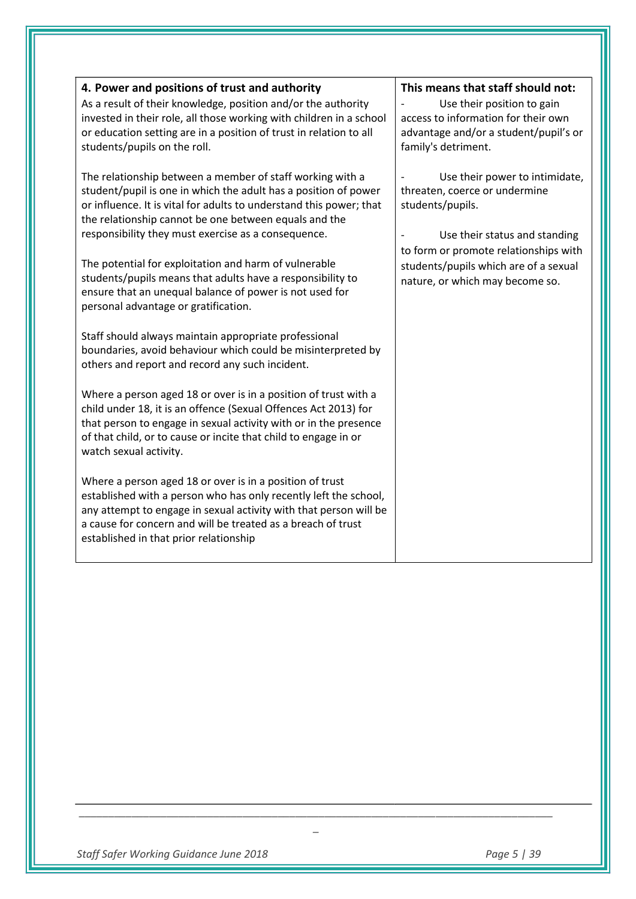| 4. Power and positions of trust and authority<br>As a result of their knowledge, position and/or the authority<br>invested in their role, all those working with children in a school<br>or education setting are in a position of trust in relation to all<br>students/pupils on the roll.                                                                                                                                                | This means that staff should not:<br>Use their position to gain<br>access to information for their own<br>advantage and/or a student/pupil's or<br>family's detriment.                                 |
|--------------------------------------------------------------------------------------------------------------------------------------------------------------------------------------------------------------------------------------------------------------------------------------------------------------------------------------------------------------------------------------------------------------------------------------------|--------------------------------------------------------------------------------------------------------------------------------------------------------------------------------------------------------|
| The relationship between a member of staff working with a<br>student/pupil is one in which the adult has a position of power<br>or influence. It is vital for adults to understand this power; that<br>the relationship cannot be one between equals and the<br>responsibility they must exercise as a consequence.<br>The potential for exploitation and harm of vulnerable<br>students/pupils means that adults have a responsibility to | Use their power to intimidate,<br>threaten, coerce or undermine<br>students/pupils.<br>Use their status and standing<br>to form or promote relationships with<br>students/pupils which are of a sexual |
| ensure that an unequal balance of power is not used for<br>personal advantage or gratification.<br>Staff should always maintain appropriate professional                                                                                                                                                                                                                                                                                   | nature, or which may become so.                                                                                                                                                                        |
| boundaries, avoid behaviour which could be misinterpreted by<br>others and report and record any such incident.<br>Where a person aged 18 or over is in a position of trust with a<br>child under 18, it is an offence (Sexual Offences Act 2013) for                                                                                                                                                                                      |                                                                                                                                                                                                        |
| that person to engage in sexual activity with or in the presence<br>of that child, or to cause or incite that child to engage in or<br>watch sexual activity.<br>Where a person aged 18 or over is in a position of trust                                                                                                                                                                                                                  |                                                                                                                                                                                                        |
| established with a person who has only recently left the school,<br>any attempt to engage in sexual activity with that person will be<br>a cause for concern and will be treated as a breach of trust<br>established in that prior relationship                                                                                                                                                                                            |                                                                                                                                                                                                        |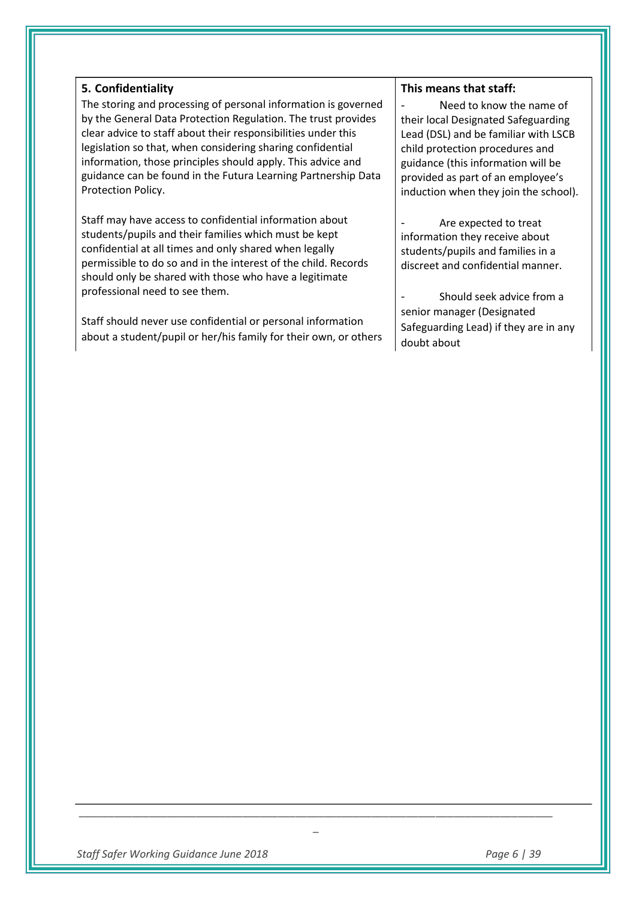#### **5. Confidentiality**

The storing and processing of personal information is governed by the General Data Protection Regulation. The trust provides clear advice to staff about their responsibilities under this legislation so that, when considering sharing confidential information, those principles should apply. This advice and guidance can be found in the Futura Learning Partnership Data Protection Policy.

Staff may have access to confidential information about students/pupils and their families which must be kept confidential at all times and only shared when legally permissible to do so and in the interest of the child. Records should only be shared with those who have a legitimate professional need to see them.

Staff should never use confidential or personal information about a student/pupil or her/his family for their own, or others

#### **This means that staff:**

Need to know the name of their local Designated Safeguarding Lead (DSL) and be familiar with LSCB child protection procedures and guidance (this information will be provided as part of an employee's induction when they join the school).

Are expected to treat information they receive about students/pupils and families in a discreet and confidential manner.

Should seek advice from a senior manager (Designated Safeguarding Lead) if they are in any doubt about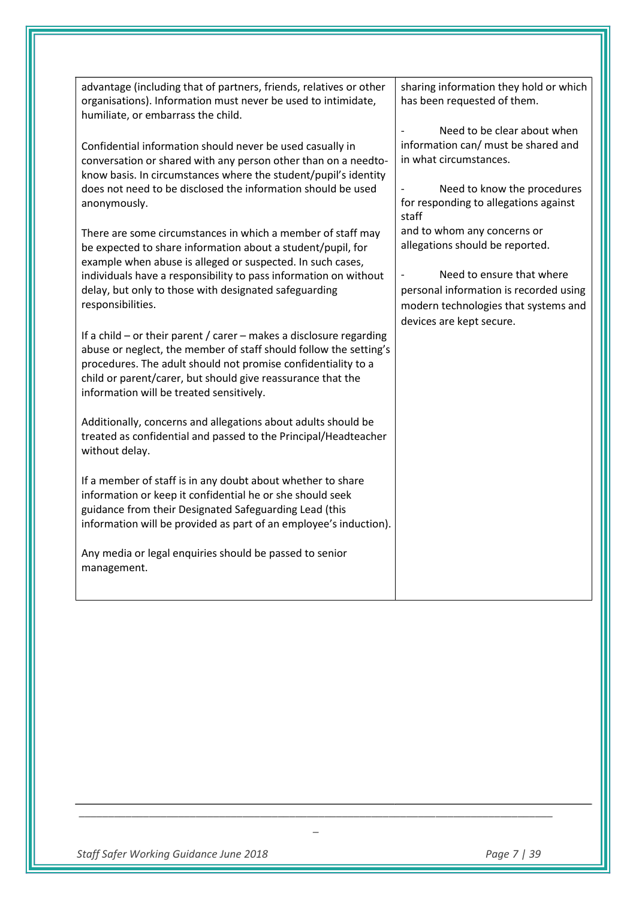| advantage (including that of partners, friends, relatives or other<br>organisations). Information must never be used to intimidate,<br>humiliate, or embarrass the child.                                                                                                                                                | sharing information they hold or which<br>has been requested of them.         |
|--------------------------------------------------------------------------------------------------------------------------------------------------------------------------------------------------------------------------------------------------------------------------------------------------------------------------|-------------------------------------------------------------------------------|
| Confidential information should never be used casually in                                                                                                                                                                                                                                                                | Need to be clear about when<br>information can/ must be shared and            |
| conversation or shared with any person other than on a needto-<br>know basis. In circumstances where the student/pupil's identity                                                                                                                                                                                        | in what circumstances.                                                        |
| does not need to be disclosed the information should be used<br>anonymously.                                                                                                                                                                                                                                             | Need to know the procedures<br>for responding to allegations against<br>staff |
| There are some circumstances in which a member of staff may<br>be expected to share information about a student/pupil, for<br>example when abuse is alleged or suspected. In such cases,                                                                                                                                 | and to whom any concerns or<br>allegations should be reported.                |
| individuals have a responsibility to pass information on without                                                                                                                                                                                                                                                         | Need to ensure that where                                                     |
| delay, but only to those with designated safeguarding                                                                                                                                                                                                                                                                    | personal information is recorded using                                        |
| responsibilities.                                                                                                                                                                                                                                                                                                        | modern technologies that systems and                                          |
| If a child $-$ or their parent / carer $-$ makes a disclosure regarding<br>abuse or neglect, the member of staff should follow the setting's<br>procedures. The adult should not promise confidentiality to a<br>child or parent/carer, but should give reassurance that the<br>information will be treated sensitively. | devices are kept secure.                                                      |
| Additionally, concerns and allegations about adults should be<br>treated as confidential and passed to the Principal/Headteacher<br>without delay.                                                                                                                                                                       |                                                                               |
| If a member of staff is in any doubt about whether to share<br>information or keep it confidential he or she should seek<br>guidance from their Designated Safeguarding Lead (this<br>information will be provided as part of an employee's induction).                                                                  |                                                                               |
| Any media or legal enquiries should be passed to senior<br>management.                                                                                                                                                                                                                                                   |                                                                               |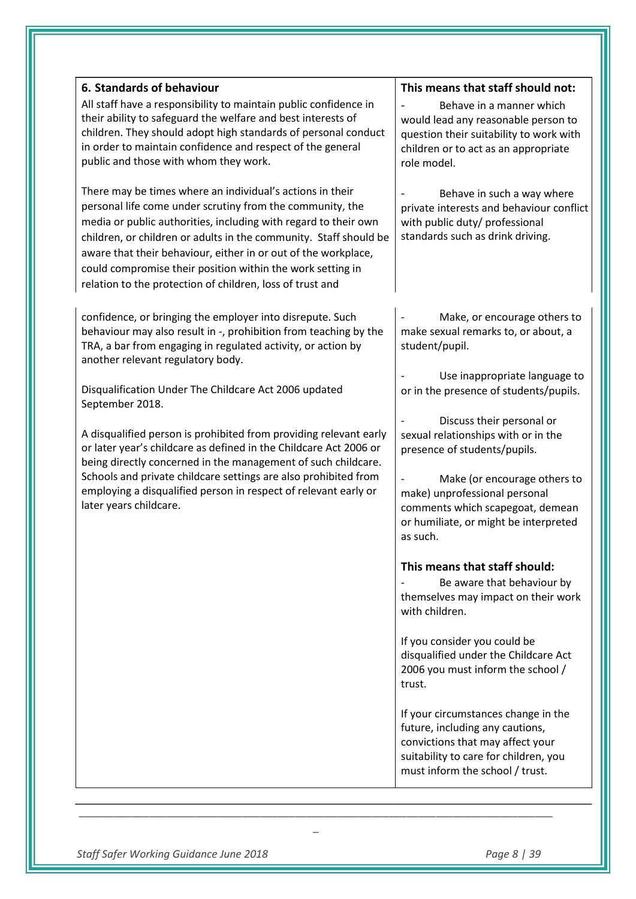| 6. Standards of behaviour                                                                                                                                                                                                                                                                                                                                                                                                                                   | This means that staff should not:                                                                                                                                                      |
|-------------------------------------------------------------------------------------------------------------------------------------------------------------------------------------------------------------------------------------------------------------------------------------------------------------------------------------------------------------------------------------------------------------------------------------------------------------|----------------------------------------------------------------------------------------------------------------------------------------------------------------------------------------|
| All staff have a responsibility to maintain public confidence in<br>their ability to safeguard the welfare and best interests of<br>children. They should adopt high standards of personal conduct<br>in order to maintain confidence and respect of the general<br>public and those with whom they work.                                                                                                                                                   | Behave in a manner which<br>would lead any reasonable person to<br>question their suitability to work with<br>children or to act as an appropriate<br>role model.                      |
| There may be times where an individual's actions in their<br>personal life come under scrutiny from the community, the<br>media or public authorities, including with regard to their own<br>children, or children or adults in the community. Staff should be<br>aware that their behaviour, either in or out of the workplace,<br>could compromise their position within the work setting in<br>relation to the protection of children, loss of trust and | Behave in such a way where<br>private interests and behaviour conflict<br>with public duty/ professional<br>standards such as drink driving.                                           |
| confidence, or bringing the employer into disrepute. Such<br>behaviour may also result in -, prohibition from teaching by the<br>TRA, a bar from engaging in regulated activity, or action by<br>another relevant regulatory body.                                                                                                                                                                                                                          | Make, or encourage others to<br>make sexual remarks to, or about, a<br>student/pupil.                                                                                                  |
| Disqualification Under The Childcare Act 2006 updated<br>September 2018.                                                                                                                                                                                                                                                                                                                                                                                    | Use inappropriate language to<br>or in the presence of students/pupils.                                                                                                                |
| A disqualified person is prohibited from providing relevant early<br>or later year's childcare as defined in the Childcare Act 2006 or<br>being directly concerned in the management of such childcare.                                                                                                                                                                                                                                                     | Discuss their personal or<br>sexual relationships with or in the<br>presence of students/pupils.                                                                                       |
| Schools and private childcare settings are also prohibited from<br>employing a disqualified person in respect of relevant early or<br>later years childcare.                                                                                                                                                                                                                                                                                                | Make (or encourage others to<br>make) unprofessional personal<br>comments which scapegoat, demean<br>or humiliate, or might be interpreted<br>as such.                                 |
|                                                                                                                                                                                                                                                                                                                                                                                                                                                             | This means that staff should:<br>Be aware that behaviour by<br>themselves may impact on their work<br>with children.                                                                   |
|                                                                                                                                                                                                                                                                                                                                                                                                                                                             | If you consider you could be<br>disqualified under the Childcare Act<br>2006 you must inform the school /<br>trust.                                                                    |
|                                                                                                                                                                                                                                                                                                                                                                                                                                                             | If your circumstances change in the<br>future, including any cautions,<br>convictions that may affect your<br>suitability to care for children, you<br>must inform the school / trust. |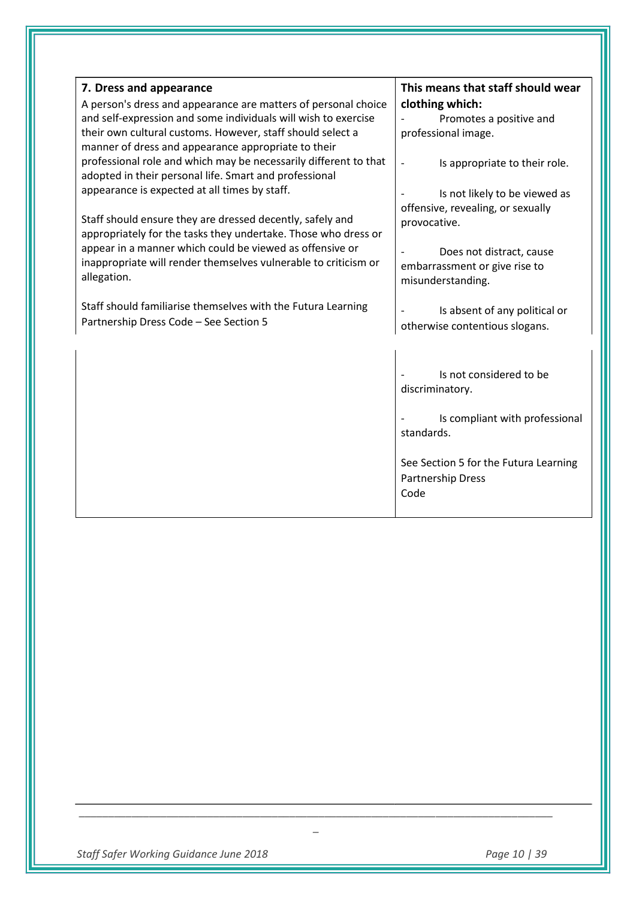| 7. Dress and appearance<br>A person's dress and appearance are matters of personal choice<br>and self-expression and some individuals will wish to exercise<br>their own cultural customs. However, staff should select a<br>manner of dress and appearance appropriate to their<br>professional role and which may be necessarily different to that<br>adopted in their personal life. Smart and professional<br>appearance is expected at all times by staff.<br>Staff should ensure they are dressed decently, safely and<br>appropriately for the tasks they undertake. Those who dress or<br>appear in a manner which could be viewed as offensive or<br>inappropriate will render themselves vulnerable to criticism or<br>allegation. | This means that staff should wear<br>clothing which:<br>Promotes a positive and<br>professional image.<br>Is appropriate to their role.<br>$\overline{\phantom{a}}$<br>Is not likely to be viewed as<br>offensive, revealing, or sexually<br>provocative.<br>Does not distract, cause<br>embarrassment or give rise to<br>misunderstanding. |
|----------------------------------------------------------------------------------------------------------------------------------------------------------------------------------------------------------------------------------------------------------------------------------------------------------------------------------------------------------------------------------------------------------------------------------------------------------------------------------------------------------------------------------------------------------------------------------------------------------------------------------------------------------------------------------------------------------------------------------------------|---------------------------------------------------------------------------------------------------------------------------------------------------------------------------------------------------------------------------------------------------------------------------------------------------------------------------------------------|
| Staff should familiarise themselves with the Futura Learning<br>Partnership Dress Code - See Section 5                                                                                                                                                                                                                                                                                                                                                                                                                                                                                                                                                                                                                                       | Is absent of any political or<br>otherwise contentious slogans.                                                                                                                                                                                                                                                                             |
|                                                                                                                                                                                                                                                                                                                                                                                                                                                                                                                                                                                                                                                                                                                                              | Is not considered to be<br>discriminatory.<br>Is compliant with professional<br>standards.<br>See Section 5 for the Futura Learning<br>Partnership Dress<br>Code                                                                                                                                                                            |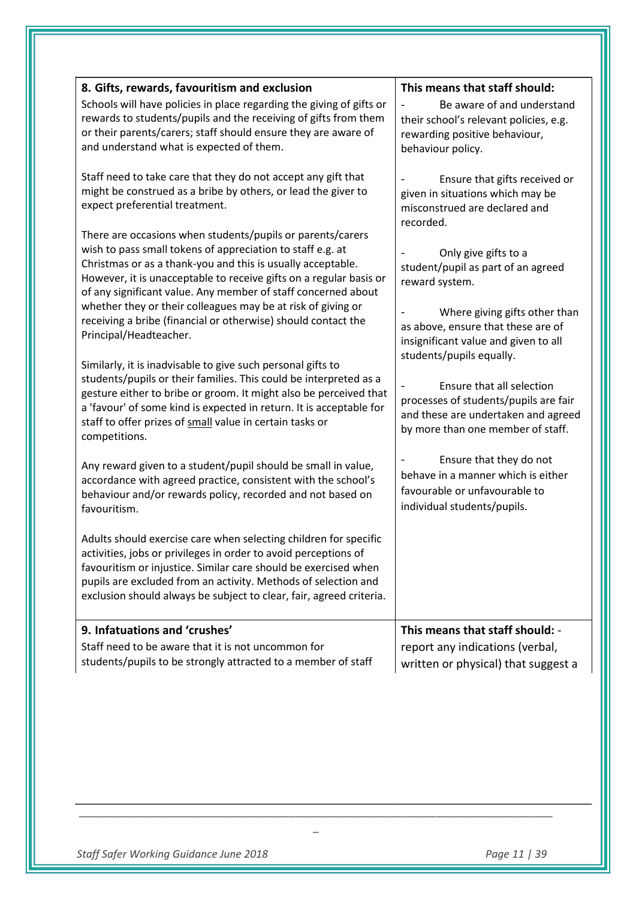| 8. Gifts, rewards, favouritism and exclusion                                                                                             | This means that staff should:                                       |
|------------------------------------------------------------------------------------------------------------------------------------------|---------------------------------------------------------------------|
| Schools will have policies in place regarding the giving of gifts or<br>rewards to students/pupils and the receiving of gifts from them  | Be aware of and understand                                          |
| or their parents/carers; staff should ensure they are aware of                                                                           | their school's relevant policies, e.g.                              |
| and understand what is expected of them.                                                                                                 | rewarding positive behaviour,<br>behaviour policy.                  |
|                                                                                                                                          |                                                                     |
| Staff need to take care that they do not accept any gift that                                                                            | Ensure that gifts received or                                       |
| might be construed as a bribe by others, or lead the giver to                                                                            | given in situations which may be                                    |
| expect preferential treatment.                                                                                                           | misconstrued are declared and                                       |
|                                                                                                                                          | recorded.                                                           |
| There are occasions when students/pupils or parents/carers                                                                               |                                                                     |
| wish to pass small tokens of appreciation to staff e.g. at                                                                               | Only give gifts to a                                                |
| Christmas or as a thank-you and this is usually acceptable.<br>However, it is unacceptable to receive gifts on a regular basis or        | student/pupil as part of an agreed                                  |
| of any significant value. Any member of staff concerned about                                                                            | reward system.                                                      |
| whether they or their colleagues may be at risk of giving or                                                                             |                                                                     |
| receiving a bribe (financial or otherwise) should contact the                                                                            | Where giving gifts other than<br>as above, ensure that these are of |
| Principal/Headteacher.                                                                                                                   | insignificant value and given to all                                |
|                                                                                                                                          | students/pupils equally.                                            |
| Similarly, it is inadvisable to give such personal gifts to                                                                              |                                                                     |
| students/pupils or their families. This could be interpreted as a                                                                        | Ensure that all selection                                           |
| gesture either to bribe or groom. It might also be perceived that<br>a 'favour' of some kind is expected in return. It is acceptable for | processes of students/pupils are fair                               |
| staff to offer prizes of small value in certain tasks or                                                                                 | and these are undertaken and agreed                                 |
| competitions.                                                                                                                            | by more than one member of staff.                                   |
|                                                                                                                                          |                                                                     |
| Any reward given to a student/pupil should be small in value,                                                                            | Ensure that they do not                                             |
| accordance with agreed practice, consistent with the school's                                                                            | behave in a manner which is either<br>favourable or unfavourable to |
| behaviour and/or rewards policy, recorded and not based on                                                                               |                                                                     |
| favouritism.                                                                                                                             | individual students/pupils.                                         |
|                                                                                                                                          |                                                                     |
| Adults should exercise care when selecting children for specific<br>activities, jobs or privileges in order to avoid perceptions of      |                                                                     |
| favouritism or injustice. Similar care should be exercised when                                                                          |                                                                     |
| pupils are excluded from an activity. Methods of selection and                                                                           |                                                                     |
| exclusion should always be subject to clear, fair, agreed criteria.                                                                      |                                                                     |
|                                                                                                                                          |                                                                     |
| 9. Infatuations and 'crushes'                                                                                                            | This means that staff should: -                                     |
| Staff need to be aware that it is not uncommon for                                                                                       | report any indications (verbal,                                     |
| students/pupils to be strongly attracted to a member of staff                                                                            | written or physical) that suggest a                                 |
|                                                                                                                                          |                                                                     |
|                                                                                                                                          |                                                                     |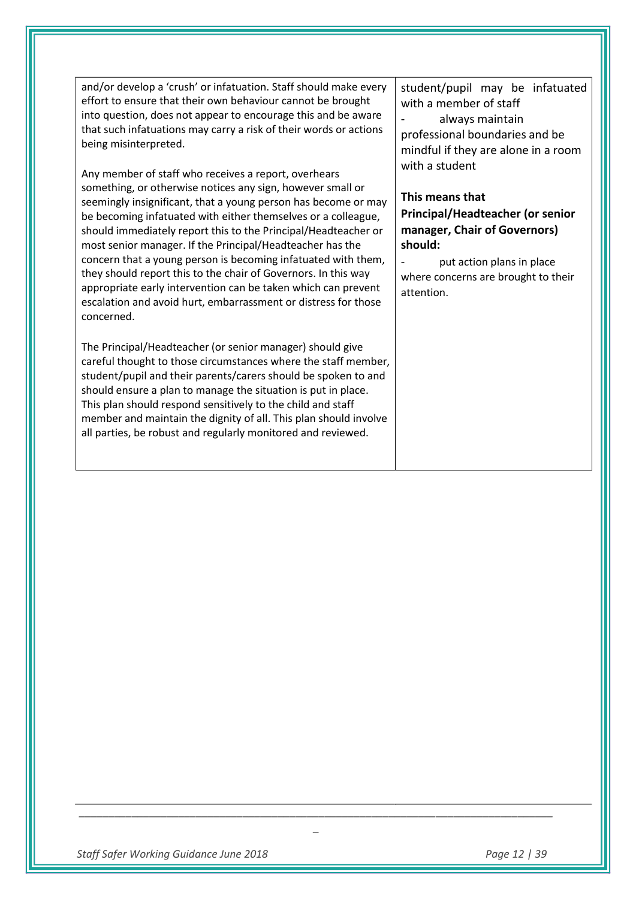and/or develop a 'crush' or infatuation. Staff should make every effort to ensure that their own behaviour cannot be brought into question, does not appear to encourage this and be aware that such infatuations may carry a risk of their words or actions being misinterpreted.

Any member of staff who receives a report, overhears something, or otherwise notices any sign, however small or seemingly insignificant, that a young person has become or may be becoming infatuated with either themselves or a colleague, should immediately report this to the Principal/Headteacher or most senior manager. If the Principal/Headteacher has the concern that a young person is becoming infatuated with them, they should report this to the chair of Governors. In this way appropriate early intervention can be taken which can prevent escalation and avoid hurt, embarrassment or distress for those concerned.

The Principal/Headteacher (or senior manager) should give careful thought to those circumstances where the staff member, student/pupil and their parents/carers should be spoken to and should ensure a plan to manage the situation is put in place. This plan should respond sensitively to the child and staff member and maintain the dignity of all. This plan should involve all parties, be robust and regularly monitored and reviewed.

student/pupil may be infatuated with a member of staff always maintain professional boundaries and be mindful if they are alone in a room with a student

# **This means that Principal/Headteacher (or senior**

**manager, Chair of Governors) should:** 

put action plans in place where concerns are brought to their attention.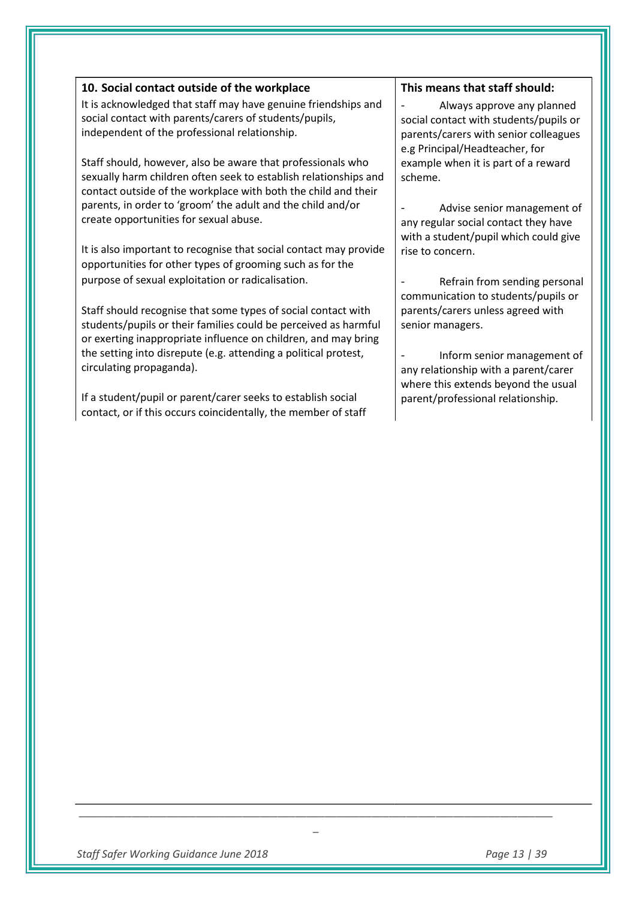| 10. Social contact outside of the workplace                                                                                                                                                       | This means that staff should:                                                                                                               |
|---------------------------------------------------------------------------------------------------------------------------------------------------------------------------------------------------|---------------------------------------------------------------------------------------------------------------------------------------------|
| It is acknowledged that staff may have genuine friendships and<br>social contact with parents/carers of students/pupils,<br>independent of the professional relationship.                         | Always approve any planned<br>social contact with students/pupils<br>parents/carers with senior colleague<br>e.g Principal/Headteacher, for |
| Staff should, however, also be aware that professionals who<br>sexually harm children often seek to establish relationships and<br>contact outside of the workplace with both the child and their | example when it is part of a reward<br>scheme.                                                                                              |
| parents, in order to 'groom' the adult and the child and/or<br>create opportunities for sexual abuse.                                                                                             | Advise senior management<br>any regular social contact they have<br>with a student/pupil which could giv                                    |
| It is also important to recognise that social contact may provide<br>opportunities for other types of grooming such as for the                                                                    | rise to concern.                                                                                                                            |
| purpose of sexual exploitation or radicalisation.                                                                                                                                                 | Refrain from sending persor<br>communication to students/pupils o                                                                           |

Staff should recognise that some types of social contact with students/pupils or their families could be perceived as harmful or exerting inappropriate influence on children, and may bring the setting into disrepute (e.g. attending a political protest, circulating propaganda).

If a student/pupil or parent/carer seeks to establish social contact, or if this occurs coincidentally, the member of staff - Always approve any planned social contact with students/pupils or parents/carers with senior colleagues example when it is part of a reward

- Advise senior management of any regular social contact they have with a student/pupil which could give

- Refrain from sending personal communication to students/pupils or parents/carers unless agreed with senior managers.

- Inform senior management of any relationship with a parent/carer where this extends beyond the usual parent/professional relationship.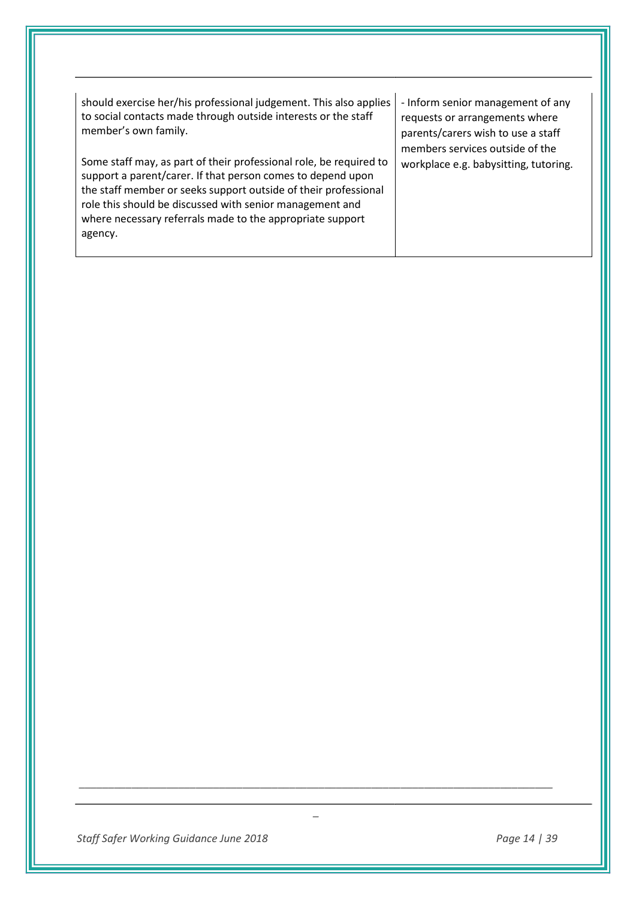| should exercise her/his professional judgement. This also applies<br>to social contacts made through outside interests or the staff<br>member's own family.<br>Some staff may, as part of their professional role, be required to<br>support a parent/carer. If that person comes to depend upon<br>the staff member or seeks support outside of their professional<br>role this should be discussed with senior management and<br>where necessary referrals made to the appropriate support<br>agency. | - Inform senior management of any<br>requests or arrangements where<br>parents/carers wish to use a staff<br>members services outside of the<br>workplace e.g. babysitting, tutoring. |
|---------------------------------------------------------------------------------------------------------------------------------------------------------------------------------------------------------------------------------------------------------------------------------------------------------------------------------------------------------------------------------------------------------------------------------------------------------------------------------------------------------|---------------------------------------------------------------------------------------------------------------------------------------------------------------------------------------|
|---------------------------------------------------------------------------------------------------------------------------------------------------------------------------------------------------------------------------------------------------------------------------------------------------------------------------------------------------------------------------------------------------------------------------------------------------------------------------------------------------------|---------------------------------------------------------------------------------------------------------------------------------------------------------------------------------------|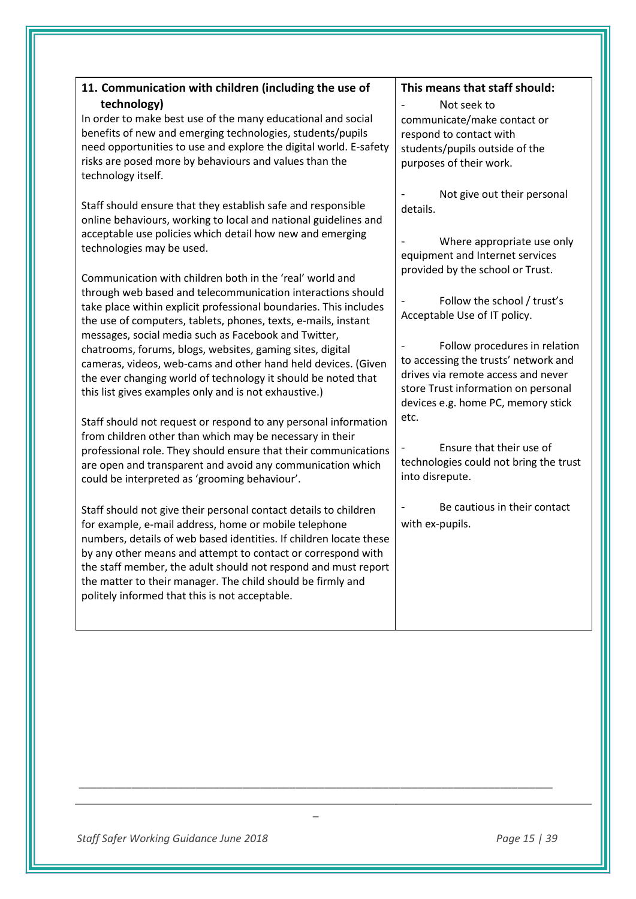| 11. Communication with children (including the use of<br>technology)<br>In order to make best use of the many educational and social<br>benefits of new and emerging technologies, students/pupils<br>need opportunities to use and explore the digital world. E-safety<br>risks are posed more by behaviours and values than the<br>technology itself.<br>Staff should ensure that they establish safe and responsible<br>online behaviours, working to local and national guidelines and<br>acceptable use policies which detail how new and emerging<br>technologies may be used.<br>Communication with children both in the 'real' world and<br>through web based and telecommunication interactions should<br>take place within explicit professional boundaries. This includes<br>the use of computers, tablets, phones, texts, e-mails, instant<br>messages, social media such as Facebook and Twitter,<br>chatrooms, forums, blogs, websites, gaming sites, digital<br>cameras, videos, web-cams and other hand held devices. (Given<br>the ever changing world of technology it should be noted that<br>this list gives examples only and is not exhaustive.)<br>Staff should not request or respond to any personal information<br>from children other than which may be necessary in their<br>professional role. They should ensure that their communications<br>are open and transparent and avoid any communication which<br>could be interpreted as 'grooming behaviour'.<br>Staff should not give their personal contact details to children<br>for example, e-mail address, home or mobile telephone | This means that staff should:<br>Not seek to<br>communicate/make contact or<br>respond to contact with<br>students/pupils outside of the<br>purposes of their work.<br>Not give out their personal<br>details.<br>Where appropriate use only<br>equipment and Internet services<br>provided by the school or Trust.<br>Follow the school / trust's<br>Acceptable Use of IT policy.<br>Follow procedures in relation<br>to accessing the trusts' network and<br>drives via remote access and never<br>store Trust information on personal<br>devices e.g. home PC, memory stick<br>etc.<br>Ensure that their use of<br>technologies could not bring the trust<br>into disrepute.<br>Be cautious in their contact<br>with ex-pupils. |
|----------------------------------------------------------------------------------------------------------------------------------------------------------------------------------------------------------------------------------------------------------------------------------------------------------------------------------------------------------------------------------------------------------------------------------------------------------------------------------------------------------------------------------------------------------------------------------------------------------------------------------------------------------------------------------------------------------------------------------------------------------------------------------------------------------------------------------------------------------------------------------------------------------------------------------------------------------------------------------------------------------------------------------------------------------------------------------------------------------------------------------------------------------------------------------------------------------------------------------------------------------------------------------------------------------------------------------------------------------------------------------------------------------------------------------------------------------------------------------------------------------------------------------------------------------------------------------------------------------------------|------------------------------------------------------------------------------------------------------------------------------------------------------------------------------------------------------------------------------------------------------------------------------------------------------------------------------------------------------------------------------------------------------------------------------------------------------------------------------------------------------------------------------------------------------------------------------------------------------------------------------------------------------------------------------------------------------------------------------------|
| numbers, details of web based identities. If children locate these<br>by any other means and attempt to contact or correspond with<br>the staff member, the adult should not respond and must report<br>the matter to their manager. The child should be firmly and<br>politely informed that this is not acceptable.                                                                                                                                                                                                                                                                                                                                                                                                                                                                                                                                                                                                                                                                                                                                                                                                                                                                                                                                                                                                                                                                                                                                                                                                                                                                                                |                                                                                                                                                                                                                                                                                                                                                                                                                                                                                                                                                                                                                                                                                                                                    |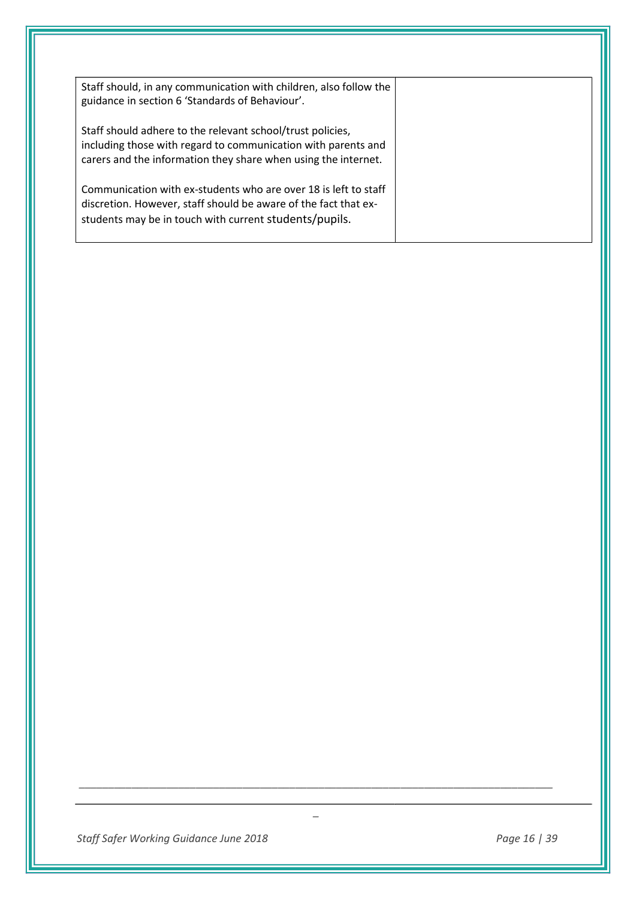| Staff should, in any communication with children, also follow the<br>guidance in section 6 'Standards of Behaviour'.                                                                          |  |
|-----------------------------------------------------------------------------------------------------------------------------------------------------------------------------------------------|--|
| Staff should adhere to the relevant school/trust policies,<br>including those with regard to communication with parents and<br>carers and the information they share when using the internet. |  |
| Communication with ex-students who are over 18 is left to staff<br>discretion. However, staff should be aware of the fact that ex-<br>students may be in touch with current students/pupils.  |  |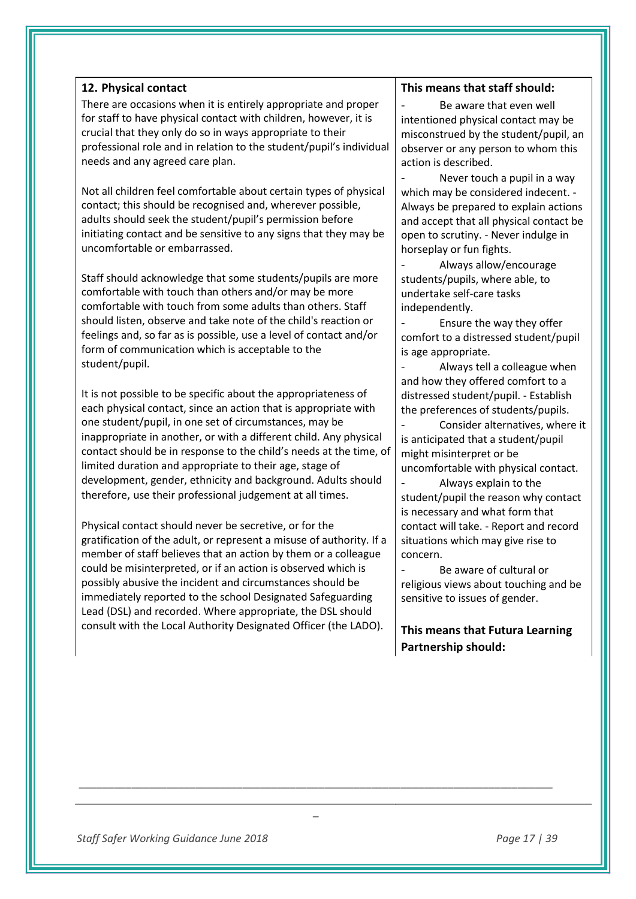## **12. Physical contact**

There are occasions when it is entirely appropriate and proper for staff to have physical contact with children, however, it is crucial that they only do so in ways appropriate to their professional role and in relation to the student/pupil's individual needs and any agreed care plan.

Not all children feel comfortable about certain types of physical contact; this should be recognised and, wherever possible, adults should seek the student/pupil's permission before initiating contact and be sensitive to any signs that they may be uncomfortable or embarrassed.

Staff should acknowledge that some students/pupils are more comfortable with touch than others and/or may be more comfortable with touch from some adults than others. Staff should listen, observe and take note of the child's reaction or feelings and, so far as is possible, use a level of contact and/or form of communication which is acceptable to the student/pupil.

It is not possible to be specific about the appropriateness of each physical contact, since an action that is appropriate with one student/pupil, in one set of circumstances, may be inappropriate in another, or with a different child. Any physical contact should be in response to the child's needs at the time, of limited duration and appropriate to their age, stage of development, gender, ethnicity and background. Adults should therefore, use their professional judgement at all times.

Physical contact should never be secretive, or for the gratification of the adult, or represent a misuse of authority. If a member of staff believes that an action by them or a colleague could be misinterpreted, or if an action is observed which is possibly abusive the incident and circumstances should be immediately reported to the school Designated Safeguarding Lead (DSL) and recorded. Where appropriate, the DSL should consult with the Local Authority Designated Officer (the LADO).

*\_\_\_\_\_\_\_\_\_\_\_\_\_\_\_\_\_\_\_\_\_\_\_\_\_\_\_\_\_\_\_\_\_\_\_\_\_\_\_\_\_\_\_\_\_\_\_\_\_\_\_\_\_\_\_\_\_\_\_\_\_\_\_\_\_\_\_\_\_\_\_\_\_\_\_\_\_\_\_\_\_*

*\_* 

#### **This means that staff should:**

Be aware that even well intentioned physical contact may be misconstrued by the student/pupil, an observer or any person to whom this action is described.

Never touch a pupil in a way which may be considered indecent. - Always be prepared to explain actions and accept that all physical contact be open to scrutiny. - Never indulge in horseplay or fun fights.

- Always allow/encourage students/pupils, where able, to undertake self-care tasks independently.

Ensure the way they offer comfort to a distressed student/pupil is age appropriate.

Always tell a colleague when and how they offered comfort to a distressed student/pupil. - Establish the preferences of students/pupils.

Consider alternatives, where it is anticipated that a student/pupil might misinterpret or be uncomfortable with physical contact.

- Always explain to the student/pupil the reason why contact is necessary and what form that contact will take. - Report and record situations which may give rise to concern.

Be aware of cultural or religious views about touching and be sensitive to issues of gender.

# **This means that Futura Learning Partnership should:**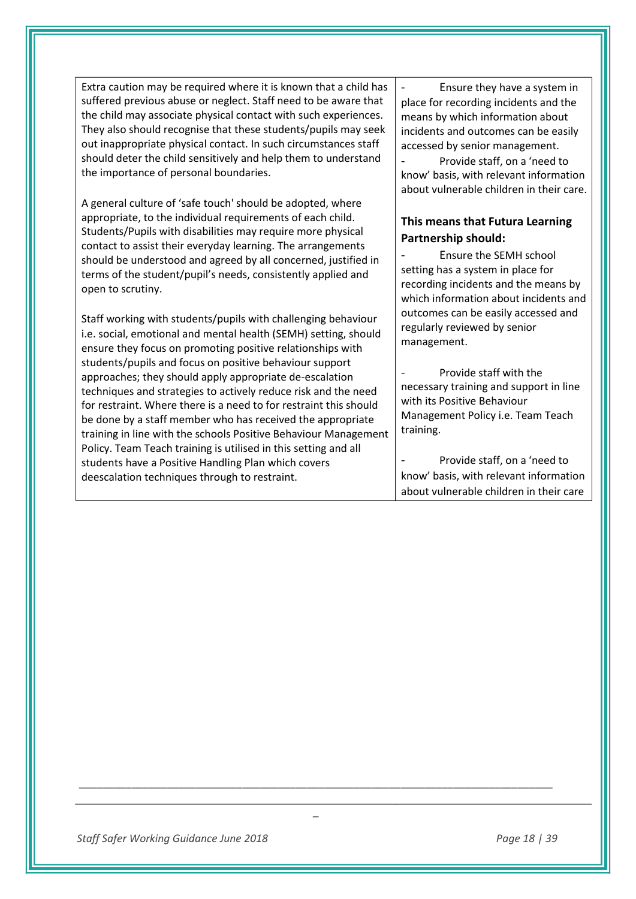Extra caution may be required where it is known that a child has suffered previous abuse or neglect. Staff need to be aware that the child may associate physical contact with such experiences. They also should recognise that these students/pupils may seek out inappropriate physical contact. In such circumstances staff should deter the child sensitively and help them to understand the importance of personal boundaries.

A general culture of 'safe touch' should be adopted, where appropriate, to the individual requirements of each child. Students/Pupils with disabilities may require more physical contact to assist their everyday learning. The arrangements should be understood and agreed by all concerned, justified in terms of the student/pupil's needs, consistently applied and open to scrutiny.

Staff working with students/pupils with challenging behaviour i.e. social, emotional and mental health (SEMH) setting, should ensure they focus on promoting positive relationships with students/pupils and focus on positive behaviour support approaches; they should apply appropriate de-escalation techniques and strategies to actively reduce risk and the need for restraint. Where there is a need to for restraint this should be done by a staff member who has received the appropriate training in line with the schools Positive Behaviour Management Policy. Team Teach training is utilised in this setting and all students have a Positive Handling Plan which covers deescalation techniques through to restraint.

Ensure they have a system in place for recording incidents and the means by which information about incidents and outcomes can be easily accessed by senior management.

Provide staff, on a 'need to know' basis, with relevant information about vulnerable children in their care.

# **This means that Futura Learning Partnership should:**

Ensure the SEMH school setting has a system in place for recording incidents and the means by which information about incidents and outcomes can be easily accessed and regularly reviewed by senior management.

Provide staff with the necessary training and support in line with its Positive Behaviour Management Policy i.e. Team Teach training.

Provide staff, on a 'need to know' basis, with relevant information about vulnerable children in their care

*\_\_\_\_\_\_\_\_\_\_\_\_\_\_\_\_\_\_\_\_\_\_\_\_\_\_\_\_\_\_\_\_\_\_\_\_\_\_\_\_\_\_\_\_\_\_\_\_\_\_\_\_\_\_\_\_\_\_\_\_\_\_\_\_\_\_\_\_\_\_\_\_\_\_\_\_\_\_\_\_\_*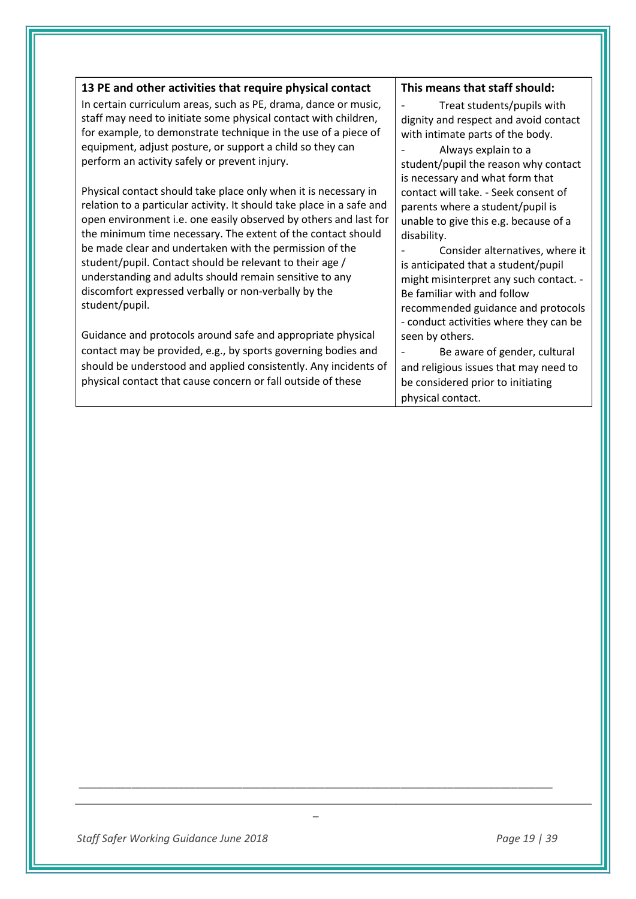| 13 PE and other activities that require physical contact                                                                                                                                                                                                                                                                                                                                                                                                                                                                                 | This means that staff should:                                                                                                                                                                                                                                                                                                                                                                          |
|------------------------------------------------------------------------------------------------------------------------------------------------------------------------------------------------------------------------------------------------------------------------------------------------------------------------------------------------------------------------------------------------------------------------------------------------------------------------------------------------------------------------------------------|--------------------------------------------------------------------------------------------------------------------------------------------------------------------------------------------------------------------------------------------------------------------------------------------------------------------------------------------------------------------------------------------------------|
| In certain curriculum areas, such as PE, drama, dance or music,<br>staff may need to initiate some physical contact with children,<br>for example, to demonstrate technique in the use of a piece of<br>equipment, adjust posture, or support a child so they can<br>perform an activity safely or prevent injury.                                                                                                                                                                                                                       | Treat students/pupils with<br>dignity and respect and avoid contact<br>with intimate parts of the body.<br>Always explain to a<br>student/pupil the reason why contact                                                                                                                                                                                                                                 |
| Physical contact should take place only when it is necessary in<br>relation to a particular activity. It should take place in a safe and<br>open environment i.e. one easily observed by others and last for<br>the minimum time necessary. The extent of the contact should<br>be made clear and undertaken with the permission of the<br>student/pupil. Contact should be relevant to their age /<br>understanding and adults should remain sensitive to any<br>discomfort expressed verbally or non-verbally by the<br>student/pupil. | is necessary and what form that<br>contact will take. - Seek consent of<br>parents where a student/pupil is<br>unable to give this e.g. because of a<br>disability.<br>Consider alternatives, where it<br>is anticipated that a student/pupil<br>might misinterpret any such contact. -<br>Be familiar with and follow<br>recommended guidance and protocols<br>- conduct activities where they can be |
| Guidance and protocols around safe and appropriate physical<br>contact may be provided, e.g., by sports governing bodies and<br>should be understood and applied consistently. Any incidents of<br>physical contact that cause concern or fall outside of these                                                                                                                                                                                                                                                                          | seen by others.<br>Be aware of gender, cultural<br>and religious issues that may need to<br>be considered prior to initiating<br>physical contact.                                                                                                                                                                                                                                                     |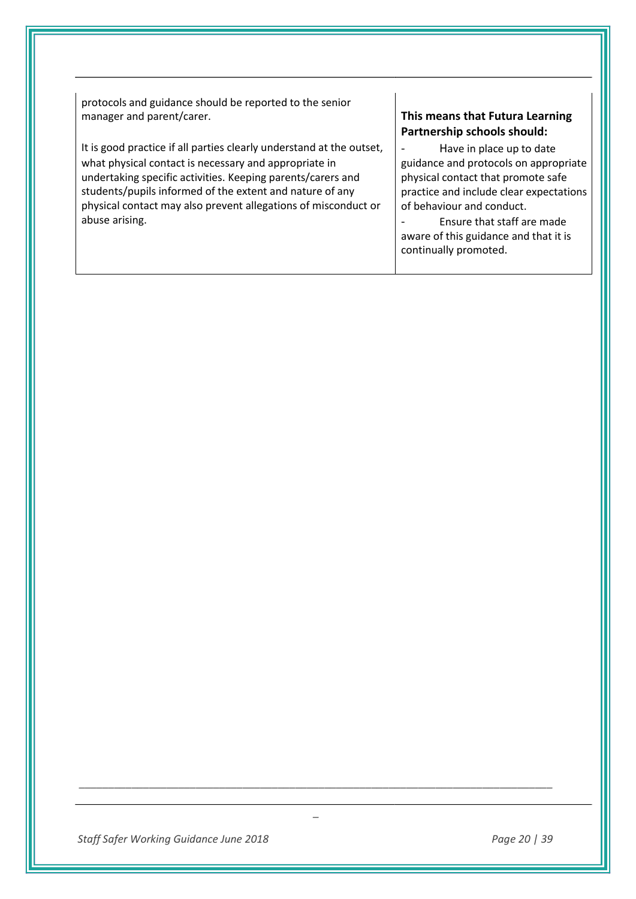protocols and guidance should be reported to the senior manager and parent/carer.

It is good practice if all parties clearly understand at the outset, what physical contact is necessary and appropriate in undertaking specific activities. Keeping parents/carers and students/pupils informed of the extent and nature of any physical contact may also prevent allegations of misconduct or abuse arising.

# **This means that Futura Learning Partnership schools should:**

Have in place up to date guidance and protocols on appropriate physical contact that promote safe practice and include clear expectations of behaviour and conduct.

- Ensure that staff are made aware of this guidance and that it is continually promoted.

*\_\_\_\_\_\_\_\_\_\_\_\_\_\_\_\_\_\_\_\_\_\_\_\_\_\_\_\_\_\_\_\_\_\_\_\_\_\_\_\_\_\_\_\_\_\_\_\_\_\_\_\_\_\_\_\_\_\_\_\_\_\_\_\_\_\_\_\_\_\_\_\_\_\_\_\_\_\_\_\_\_*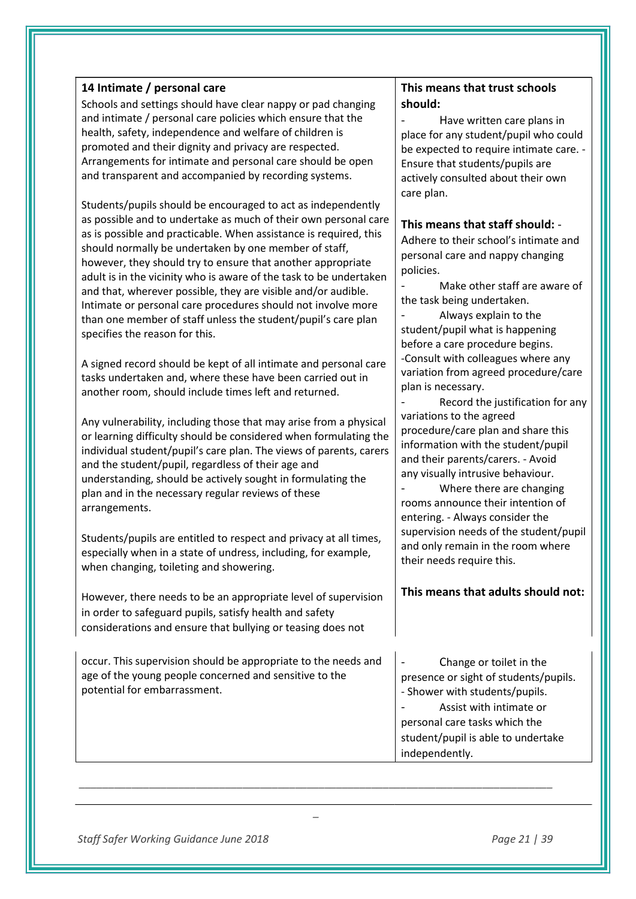# **14 Intimate / personal care**

Schools and settings should have clear nappy or pad changing and intimate / personal care policies which ensure that the health, safety, independence and welfare of children is promoted and their dignity and privacy are respected. Arrangements for intimate and personal care should be open and transparent and accompanied by recording systems.

Students/pupils should be encouraged to act as independently as possible and to undertake as much of their own personal care as is possible and practicable. When assistance is required, this should normally be undertaken by one member of staff, however, they should try to ensure that another appropriate adult is in the vicinity who is aware of the task to be undertaken and that, wherever possible, they are visible and/or audible. Intimate or personal care procedures should not involve more than one member of staff unless the student/pupil's care plan specifies the reason for this.

A signed record should be kept of all intimate and personal care tasks undertaken and, where these have been carried out in another room, should include times left and returned.

Any vulnerability, including those that may arise from a physical or learning difficulty should be considered when formulating the individual student/pupil's care plan. The views of parents, carers and the student/pupil, regardless of their age and understanding, should be actively sought in formulating the plan and in the necessary regular reviews of these arrangements.

Students/pupils are entitled to respect and privacy at all times, especially when in a state of undress, including, for example, when changing, toileting and showering.

However, there needs to be an appropriate level of supervision in order to safeguard pupils, satisfy health and safety considerations and ensure that bullying or teasing does not

occur. This supervision should be appropriate to the needs and age of the young people concerned and sensitive to the potential for embarrassment.

*\_\_\_\_\_\_\_\_\_\_\_\_\_\_\_\_\_\_\_\_\_\_\_\_\_\_\_\_\_\_\_\_\_\_\_\_\_\_\_\_\_\_\_\_\_\_\_\_\_\_\_\_\_\_\_\_\_\_\_\_\_\_\_\_\_\_\_\_\_\_\_\_\_\_\_\_\_\_\_\_\_*

*\_* 

# **This means that trust schools should:**

Have written care plans in place for any student/pupil who could be expected to require intimate care. -Ensure that students/pupils are actively consulted about their own care plan.

## **This means that staff should:** -

Adhere to their school's intimate and personal care and nappy changing policies.

Make other staff are aware of the task being undertaken.

- Always explain to the student/pupil what is happening before a care procedure begins. -Consult with colleagues where any variation from agreed procedure/care plan is necessary.

Record the justification for any variations to the agreed procedure/care plan and share this information with the student/pupil and their parents/carers. - Avoid any visually intrusive behaviour.

Where there are changing rooms announce their intention of entering. - Always consider the supervision needs of the student/pupil and only remain in the room where their needs require this.

# **This means that adults should not:**

Change or toilet in the presence or sight of students/pupils. - Shower with students/pupils. Assist with intimate or personal care tasks which the student/pupil is able to undertake independently.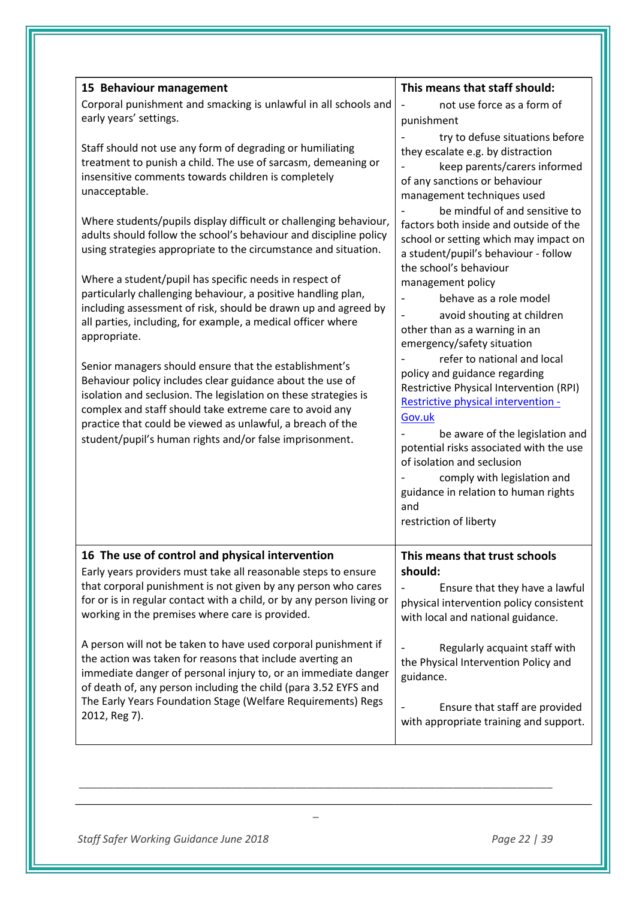| 15 Behaviour management                                                                                                                                                                                                                                                                                                                                                                                                                                                                                                                                                                                                                                 | This means that staff should:                                                                                                                                                                                                                                                                                                                                                                                                                          |
|---------------------------------------------------------------------------------------------------------------------------------------------------------------------------------------------------------------------------------------------------------------------------------------------------------------------------------------------------------------------------------------------------------------------------------------------------------------------------------------------------------------------------------------------------------------------------------------------------------------------------------------------------------|--------------------------------------------------------------------------------------------------------------------------------------------------------------------------------------------------------------------------------------------------------------------------------------------------------------------------------------------------------------------------------------------------------------------------------------------------------|
| Corporal punishment and smacking is unlawful in all schools and<br>early years' settings.                                                                                                                                                                                                                                                                                                                                                                                                                                                                                                                                                               | not use force as a form of<br>punishment                                                                                                                                                                                                                                                                                                                                                                                                               |
| Staff should not use any form of degrading or humiliating<br>treatment to punish a child. The use of sarcasm, demeaning or<br>insensitive comments towards children is completely<br>unacceptable.                                                                                                                                                                                                                                                                                                                                                                                                                                                      | try to defuse situations before<br>they escalate e.g. by distraction<br>keep parents/carers informed<br>of any sanctions or behaviour<br>management techniques used<br>be mindful of and sensitive to                                                                                                                                                                                                                                                  |
| Where students/pupils display difficult or challenging behaviour,<br>adults should follow the school's behaviour and discipline policy<br>using strategies appropriate to the circumstance and situation.                                                                                                                                                                                                                                                                                                                                                                                                                                               | factors both inside and outside of the<br>school or setting which may impact on<br>a student/pupil's behaviour - follow<br>the school's behaviour                                                                                                                                                                                                                                                                                                      |
| Where a student/pupil has specific needs in respect of<br>particularly challenging behaviour, a positive handling plan,<br>including assessment of risk, should be drawn up and agreed by<br>all parties, including, for example, a medical officer where<br>appropriate.<br>Senior managers should ensure that the establishment's<br>Behaviour policy includes clear guidance about the use of<br>isolation and seclusion. The legislation on these strategies is<br>complex and staff should take extreme care to avoid any<br>practice that could be viewed as unlawful, a breach of the<br>student/pupil's human rights and/or false imprisonment. | management policy<br>behave as a role model<br>avoid shouting at children<br>other than as a warning in an<br>emergency/safety situation<br>refer to national and local<br>policy and guidance regarding<br><b>Restrictive Physical Intervention (RPI)</b><br>Restrictive physical intervention -<br>Gov.uk<br>be aware of the legislation and<br>potential risks associated with the use<br>of isolation and seclusion<br>comply with legislation and |
|                                                                                                                                                                                                                                                                                                                                                                                                                                                                                                                                                                                                                                                         | guidance in relation to human rights<br>and<br>restriction of liberty                                                                                                                                                                                                                                                                                                                                                                                  |
| 16 The use of control and physical intervention<br>Early years providers must take all reasonable steps to ensure<br>that corporal punishment is not given by any person who cares<br>for or is in regular contact with a child, or by any person living or<br>working in the premises where care is provided.                                                                                                                                                                                                                                                                                                                                          | This means that trust schools<br>should:<br>Ensure that they have a lawful<br>physical intervention policy consistent<br>with local and national guidance.                                                                                                                                                                                                                                                                                             |
| A person will not be taken to have used corporal punishment if<br>the action was taken for reasons that include averting an<br>immediate danger of personal injury to, or an immediate danger<br>of death of, any person including the child (para 3.52 EYFS and<br>The Early Years Foundation Stage (Welfare Requirements) Regs<br>2012, Reg 7).                                                                                                                                                                                                                                                                                                       | Regularly acquaint staff with<br>the Physical Intervention Policy and<br>guidance.<br>Ensure that staff are provided<br>with appropriate training and support.                                                                                                                                                                                                                                                                                         |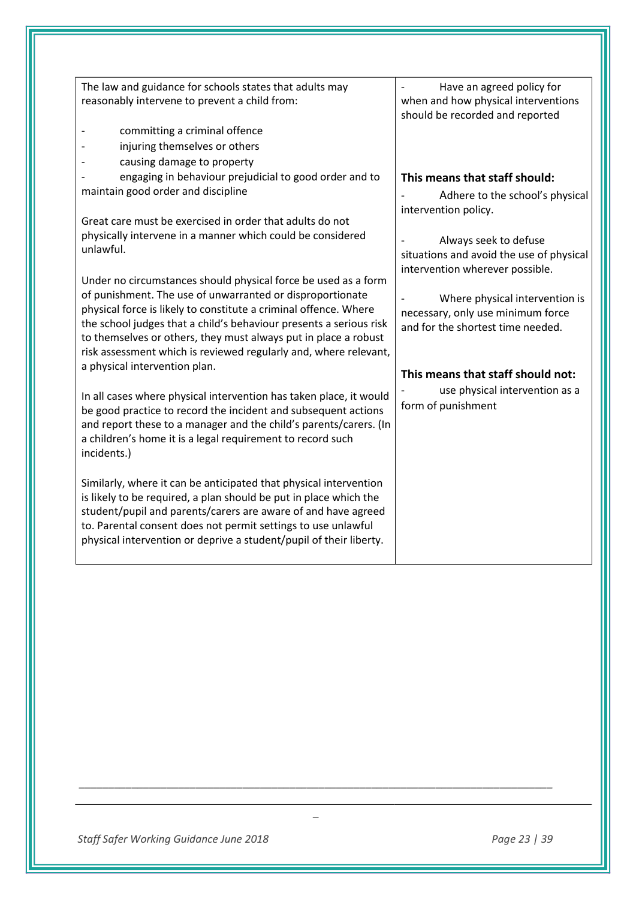| The law and guidance for schools states that adults may<br>reasonably intervene to prevent a child from:                                                                                                                                                                                                                                                                                                     | Have an agreed policy for<br>when and how physical interventions                                         |
|--------------------------------------------------------------------------------------------------------------------------------------------------------------------------------------------------------------------------------------------------------------------------------------------------------------------------------------------------------------------------------------------------------------|----------------------------------------------------------------------------------------------------------|
| committing a criminal offence                                                                                                                                                                                                                                                                                                                                                                                | should be recorded and reported                                                                          |
| injuring themselves or others                                                                                                                                                                                                                                                                                                                                                                                |                                                                                                          |
| causing damage to property<br>engaging in behaviour prejudicial to good order and to                                                                                                                                                                                                                                                                                                                         | This means that staff should:                                                                            |
| maintain good order and discipline                                                                                                                                                                                                                                                                                                                                                                           | Adhere to the school's physical                                                                          |
| Great care must be exercised in order that adults do not                                                                                                                                                                                                                                                                                                                                                     | intervention policy.                                                                                     |
| physically intervene in a manner which could be considered<br>unlawful.                                                                                                                                                                                                                                                                                                                                      | Always seek to defuse<br>situations and avoid the use of physical<br>intervention wherever possible.     |
| Under no circumstances should physical force be used as a form<br>of punishment. The use of unwarranted or disproportionate<br>physical force is likely to constitute a criminal offence. Where<br>the school judges that a child's behaviour presents a serious risk<br>to themselves or others, they must always put in place a robust<br>risk assessment which is reviewed regularly and, where relevant, | Where physical intervention is<br>necessary, only use minimum force<br>and for the shortest time needed. |
| a physical intervention plan.                                                                                                                                                                                                                                                                                                                                                                                | This means that staff should not:                                                                        |
| In all cases where physical intervention has taken place, it would<br>be good practice to record the incident and subsequent actions<br>and report these to a manager and the child's parents/carers. (In<br>a children's home it is a legal requirement to record such<br>incidents.)                                                                                                                       | use physical intervention as a<br>form of punishment                                                     |
| Similarly, where it can be anticipated that physical intervention<br>is likely to be required, a plan should be put in place which the<br>student/pupil and parents/carers are aware of and have agreed<br>to. Parental consent does not permit settings to use unlawful<br>physical intervention or deprive a student/pupil of their liberty.                                                               |                                                                                                          |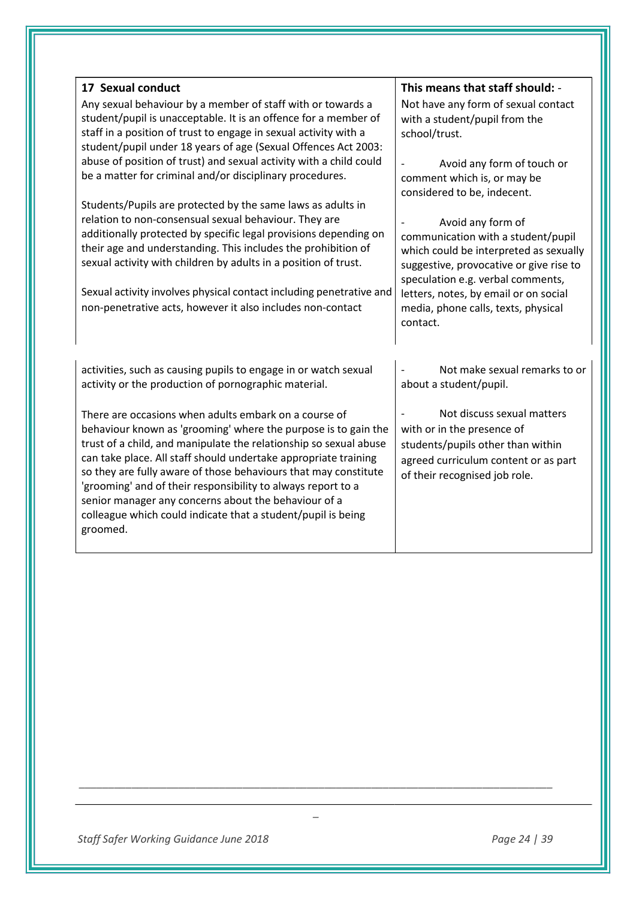| 17 Sexual conduct                                                   | This means that staff should: -         |
|---------------------------------------------------------------------|-----------------------------------------|
| Any sexual behaviour by a member of staff with or towards a         | Not have any form of sexual contact     |
| student/pupil is unacceptable. It is an offence for a member of     | with a student/pupil from the           |
| staff in a position of trust to engage in sexual activity with a    | school/trust.                           |
| student/pupil under 18 years of age (Sexual Offences Act 2003:      |                                         |
| abuse of position of trust) and sexual activity with a child could  | Avoid any form of touch or              |
| be a matter for criminal and/or disciplinary procedures.            | comment which is, or may be             |
|                                                                     | considered to be, indecent.             |
| Students/Pupils are protected by the same laws as adults in         |                                         |
| relation to non-consensual sexual behaviour. They are               | Avoid any form of                       |
| additionally protected by specific legal provisions depending on    | communication with a student/pupil      |
| their age and understanding. This includes the prohibition of       | which could be interpreted as sexually  |
| sexual activity with children by adults in a position of trust.     | suggestive, provocative or give rise to |
|                                                                     | speculation e.g. verbal comments,       |
| Sexual activity involves physical contact including penetrative and | letters, notes, by email or on social   |
| non-penetrative acts, however it also includes non-contact          | media, phone calls, texts, physical     |
|                                                                     | contact.                                |
|                                                                     |                                         |
| activities, such as causing pupils to engage in or watch sexual     | Not make sexual remarks to or           |
| activity or the production of pornographic material.                | about a student/pupil.                  |
|                                                                     |                                         |
| There are occasions when adults embark on a course of               | Not discuss sexual matters              |
| behaviour known as 'grooming' where the purpose is to gain the      | with or in the presence of              |
| trust of a child, and manipulate the relationship so sexual abuse   | students/pupils other than within       |
| can take place. All staff should undertake appropriate training     | agreed curriculum content or as part    |
| so they are fully aware of those behaviours that may constitute     | of their recognised job role.           |
| 'grooming' and of their responsibility to always report to a        |                                         |
| senior manager any concerns about the behaviour of a                |                                         |
| colleague which could indicate that a student/pupil is being        |                                         |
| groomed.                                                            |                                         |
|                                                                     |                                         |
|                                                                     |                                         |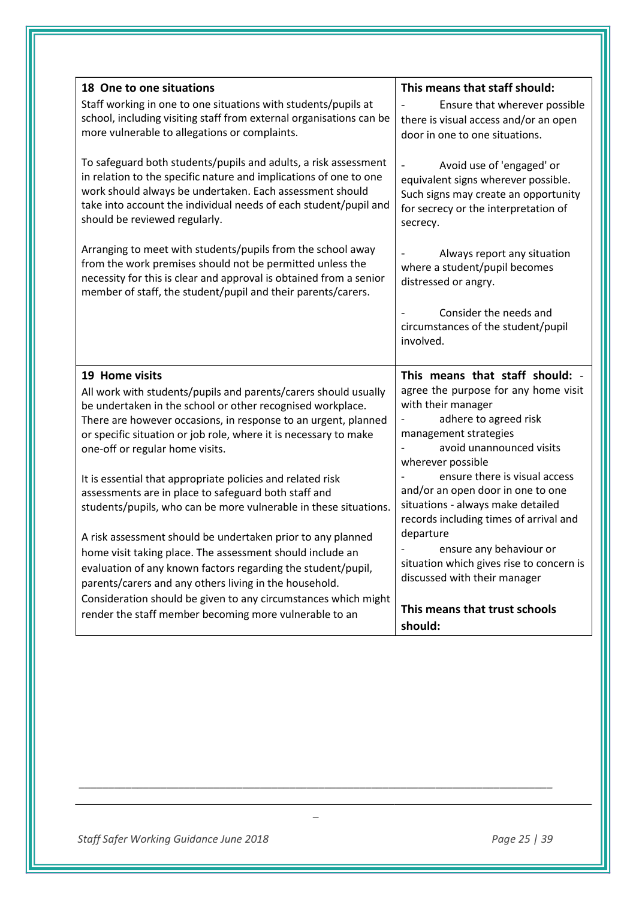| 18 One to one situations                                                                                                                                                                                                                                                                              | This means that staff should:                                                                                                                                |
|-------------------------------------------------------------------------------------------------------------------------------------------------------------------------------------------------------------------------------------------------------------------------------------------------------|--------------------------------------------------------------------------------------------------------------------------------------------------------------|
| Staff working in one to one situations with students/pupils at<br>school, including visiting staff from external organisations can be<br>more vulnerable to allegations or complaints.                                                                                                                | Ensure that wherever possible<br>there is visual access and/or an open<br>door in one to one situations.                                                     |
| To safeguard both students/pupils and adults, a risk assessment<br>in relation to the specific nature and implications of one to one<br>work should always be undertaken. Each assessment should<br>take into account the individual needs of each student/pupil and<br>should be reviewed regularly. | Avoid use of 'engaged' or<br>equivalent signs wherever possible.<br>Such signs may create an opportunity<br>for secrecy or the interpretation of<br>secrecy. |
| Arranging to meet with students/pupils from the school away<br>from the work premises should not be permitted unless the<br>necessity for this is clear and approval is obtained from a senior<br>member of staff, the student/pupil and their parents/carers.                                        | Always report any situation<br>where a student/pupil becomes<br>distressed or angry.                                                                         |
|                                                                                                                                                                                                                                                                                                       | Consider the needs and<br>circumstances of the student/pupil<br>involved.                                                                                    |
|                                                                                                                                                                                                                                                                                                       |                                                                                                                                                              |
| 19 Home visits                                                                                                                                                                                                                                                                                        | This means that staff should: -                                                                                                                              |
| All work with students/pupils and parents/carers should usually                                                                                                                                                                                                                                       | agree the purpose for any home visit                                                                                                                         |
| be undertaken in the school or other recognised workplace.                                                                                                                                                                                                                                            | with their manager                                                                                                                                           |
| There are however occasions, in response to an urgent, planned<br>or specific situation or job role, where it is necessary to make                                                                                                                                                                    | adhere to agreed risk<br>management strategies                                                                                                               |
| one-off or regular home visits.                                                                                                                                                                                                                                                                       | avoid unannounced visits                                                                                                                                     |
|                                                                                                                                                                                                                                                                                                       | wherever possible                                                                                                                                            |
| It is essential that appropriate policies and related risk<br>assessments are in place to safeguard both staff and                                                                                                                                                                                    | ensure there is visual access<br>and/or an open door in one to one                                                                                           |
| students/pupils, who can be more vulnerable in these situations.                                                                                                                                                                                                                                      | situations - always make detailed<br>records including times of arrival and                                                                                  |
| A risk assessment should be undertaken prior to any planned                                                                                                                                                                                                                                           | departure                                                                                                                                                    |
| home visit taking place. The assessment should include an                                                                                                                                                                                                                                             | ensure any behaviour or                                                                                                                                      |
| evaluation of any known factors regarding the student/pupil,<br>parents/carers and any others living in the household.                                                                                                                                                                                | situation which gives rise to concern is<br>discussed with their manager                                                                                     |
| Consideration should be given to any circumstances which might<br>render the staff member becoming more vulnerable to an                                                                                                                                                                              | This means that trust schools                                                                                                                                |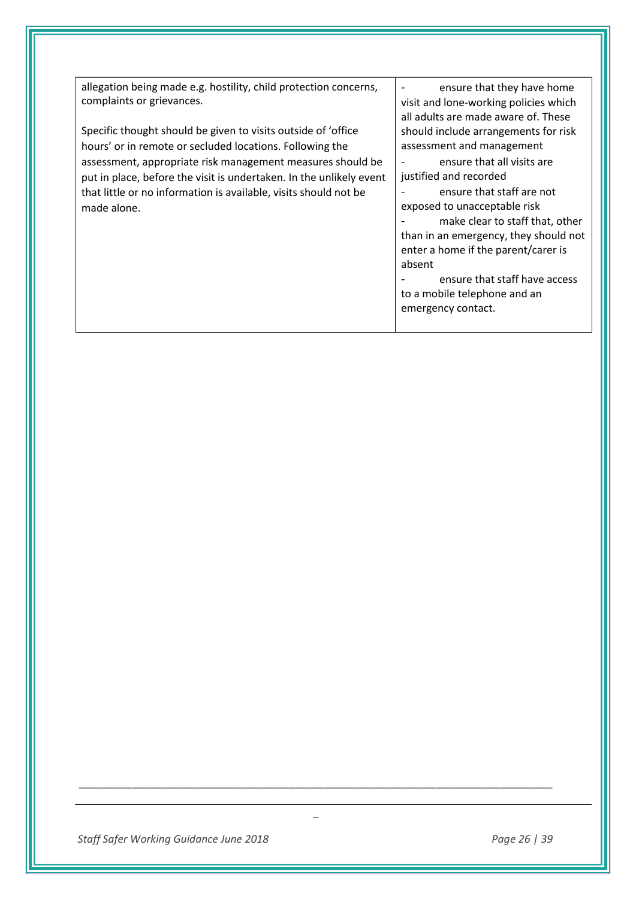| allegation being made e.g. hostility, child protection concerns,                                                                                                                                                     | ensure that they have home                                                                                                                                                                                                                                                                                                            |
|----------------------------------------------------------------------------------------------------------------------------------------------------------------------------------------------------------------------|---------------------------------------------------------------------------------------------------------------------------------------------------------------------------------------------------------------------------------------------------------------------------------------------------------------------------------------|
| complaints or grievances.<br>Specific thought should be given to visits outside of 'office<br>hours' or in remote or secluded locations. Following the                                                               | visit and lone-working policies which<br>all adults are made aware of. These<br>should include arrangements for risk<br>assessment and management                                                                                                                                                                                     |
| assessment, appropriate risk management measures should be<br>put in place, before the visit is undertaken. In the unlikely event<br>that little or no information is available, visits should not be<br>made alone. | ensure that all visits are<br>justified and recorded<br>ensure that staff are not<br>exposed to unacceptable risk<br>make clear to staff that, other<br>than in an emergency, they should not<br>enter a home if the parent/carer is<br>absent<br>ensure that staff have access<br>to a mobile telephone and an<br>emergency contact. |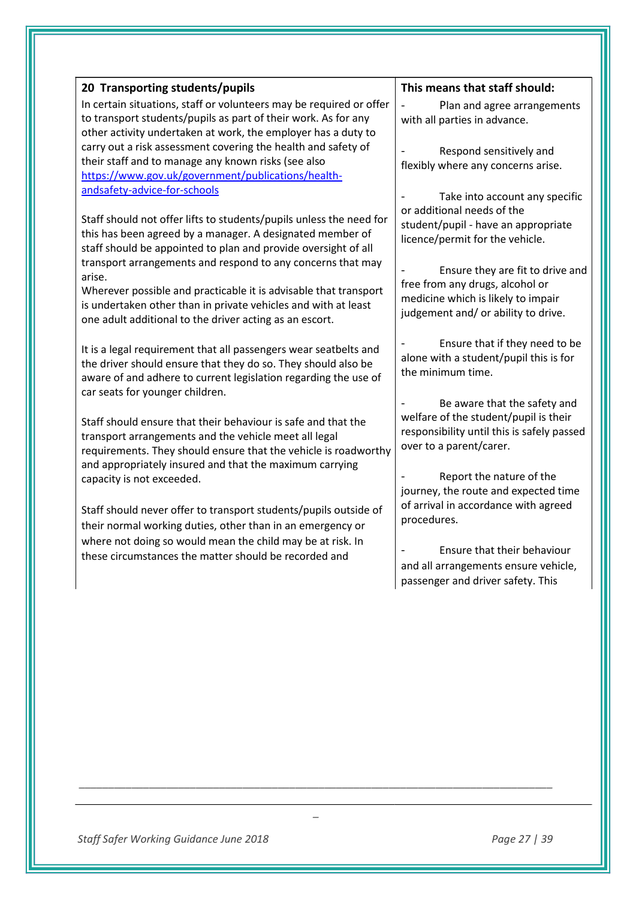| Plan and agree arrangements                |
|--------------------------------------------|
|                                            |
| with all parties in advance.               |
|                                            |
| Respond sensitively and                    |
| flexibly where any concerns arise.         |
|                                            |
| Take into account any specific             |
| or additional needs of the                 |
| student/pupil - have an appropriate        |
| licence/permit for the vehicle.            |
|                                            |
| Ensure they are fit to drive and           |
| free from any drugs, alcohol or            |
| medicine which is likely to impair         |
| judgement and/ or ability to drive.        |
|                                            |
| Ensure that if they need to be             |
| alone with a student/pupil this is for     |
| the minimum time.                          |
|                                            |
| Be aware that the safety and               |
| welfare of the student/pupil is their      |
| responsibility until this is safely passed |
| over to a parent/carer.                    |
|                                            |
| Report the nature of the                   |
| journey, the route and expected time       |
| of arrival in accordance with agreed       |
|                                            |
|                                            |
| Ensure that their behaviour                |
| and all arrangements ensure vehicle,       |
| passenger and driver safety. This          |
|                                            |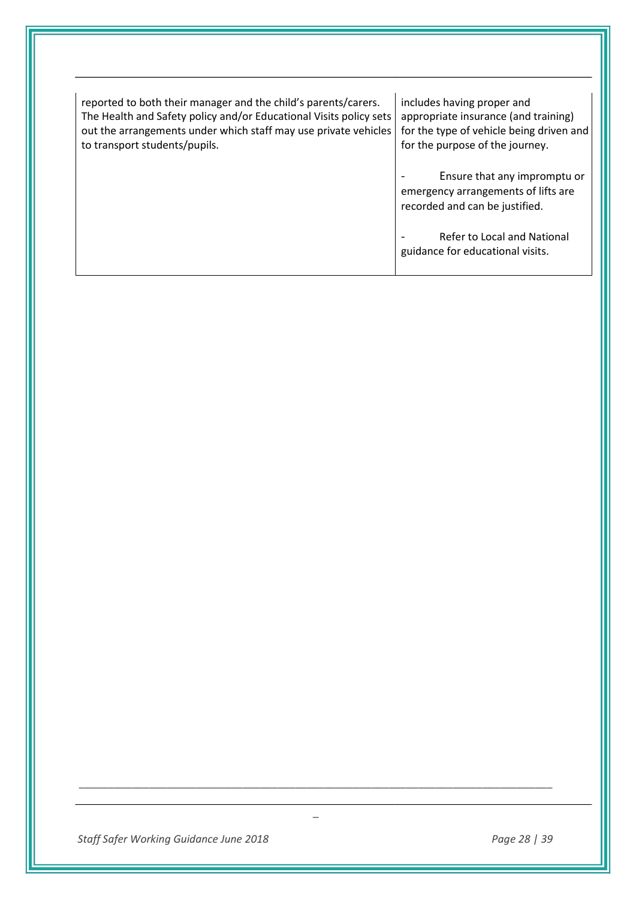| reported to both their manager and the child's parents/carers.<br>The Health and Safety policy and/or Educational Visits policy sets<br>out the arrangements under which staff may use private vehicles<br>to transport students/pupils. | includes having proper and<br>appropriate insurance (and training)<br>for the type of vehicle being driven and<br>for the purpose of the journey. |
|------------------------------------------------------------------------------------------------------------------------------------------------------------------------------------------------------------------------------------------|---------------------------------------------------------------------------------------------------------------------------------------------------|
|                                                                                                                                                                                                                                          | Ensure that any impromptu or<br>emergency arrangements of lifts are<br>recorded and can be justified.                                             |
|                                                                                                                                                                                                                                          | Refer to Local and National<br>guidance for educational visits.                                                                                   |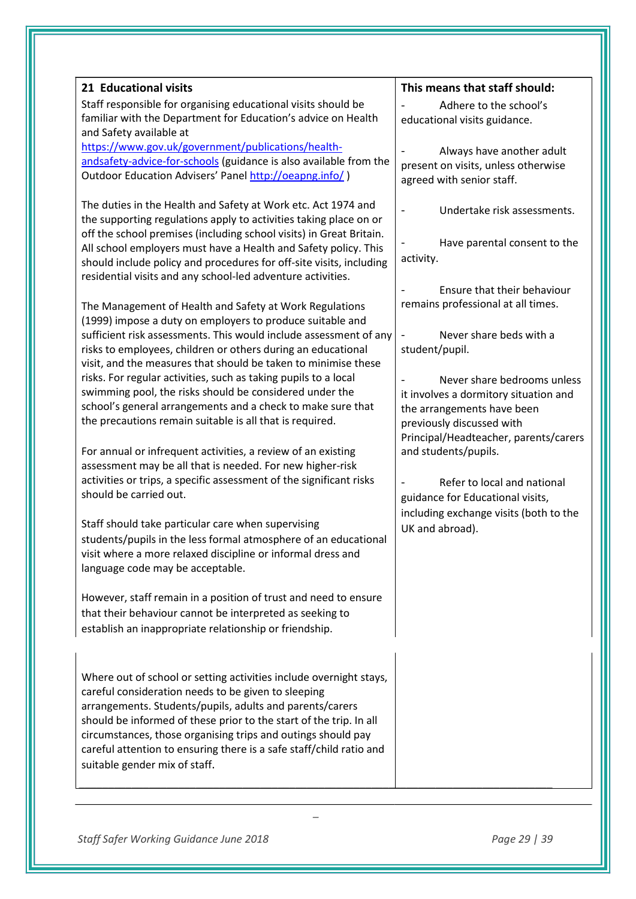| 21 Educational visits                                                                         | This means that staff should:          |
|-----------------------------------------------------------------------------------------------|----------------------------------------|
| Staff responsible for organising educational visits should be                                 | Adhere to the school's                 |
| familiar with the Department for Education's advice on Health                                 | educational visits guidance.           |
| and Safety available at                                                                       |                                        |
| https://www.gov.uk/government/publications/health-                                            | Always have another adult              |
| andsafety-advice-for-schools (guidance is also available from the                             | present on visits, unless otherwise    |
| Outdoor Education Advisers' Panel http://oeapng.info/)                                        | agreed with senior staff.              |
| The duties in the Health and Safety at Work etc. Act 1974 and                                 | Undertake risk assessments.            |
| the supporting regulations apply to activities taking place on or                             |                                        |
| off the school premises (including school visits) in Great Britain.                           | Have parental consent to the           |
| All school employers must have a Health and Safety policy. This                               |                                        |
| should include policy and procedures for off-site visits, including                           | activity.                              |
| residential visits and any school-led adventure activities.                                   |                                        |
|                                                                                               | Ensure that their behaviour            |
| The Management of Health and Safety at Work Regulations                                       | remains professional at all times.     |
| (1999) impose a duty on employers to produce suitable and                                     |                                        |
| sufficient risk assessments. This would include assessment of any                             | Never share beds with a                |
| risks to employees, children or others during an educational                                  | student/pupil.                         |
| visit, and the measures that should be taken to minimise these                                |                                        |
| risks. For regular activities, such as taking pupils to a local                               | Never share bedrooms unless            |
| swimming pool, the risks should be considered under the                                       | it involves a dormitory situation and  |
| school's general arrangements and a check to make sure that                                   | the arrangements have been             |
| the precautions remain suitable is all that is required.                                      | previously discussed with              |
|                                                                                               | Principal/Headteacher, parents/carers  |
| For annual or infrequent activities, a review of an existing                                  | and students/pupils.                   |
| assessment may be all that is needed. For new higher-risk                                     |                                        |
| activities or trips, a specific assessment of the significant risks<br>should be carried out. | Refer to local and national            |
|                                                                                               | guidance for Educational visits,       |
| Staff should take particular care when supervising                                            | including exchange visits (both to the |
| students/pupils in the less formal atmosphere of an educational                               | UK and abroad).                        |
| visit where a more relaxed discipline or informal dress and                                   |                                        |
| language code may be acceptable.                                                              |                                        |
|                                                                                               |                                        |
| However, staff remain in a position of trust and need to ensure                               |                                        |
| that their behaviour cannot be interpreted as seeking to                                      |                                        |
| establish an inappropriate relationship or friendship.                                        |                                        |
|                                                                                               |                                        |
| Where out of school or setting activities include overnight stays,                            |                                        |
| careful consideration needs to be given to sleeping                                           |                                        |
| arrangements. Students/pupils, adults and parents/carers                                      |                                        |
| should be informed of these prior to the start of the trip. In all                            |                                        |
| circumstances, those organising trips and outings should pay                                  |                                        |
| careful attention to ensuring there is a safe staff/child ratio and                           |                                        |
| suitable gender mix of staff.                                                                 |                                        |
|                                                                                               |                                        |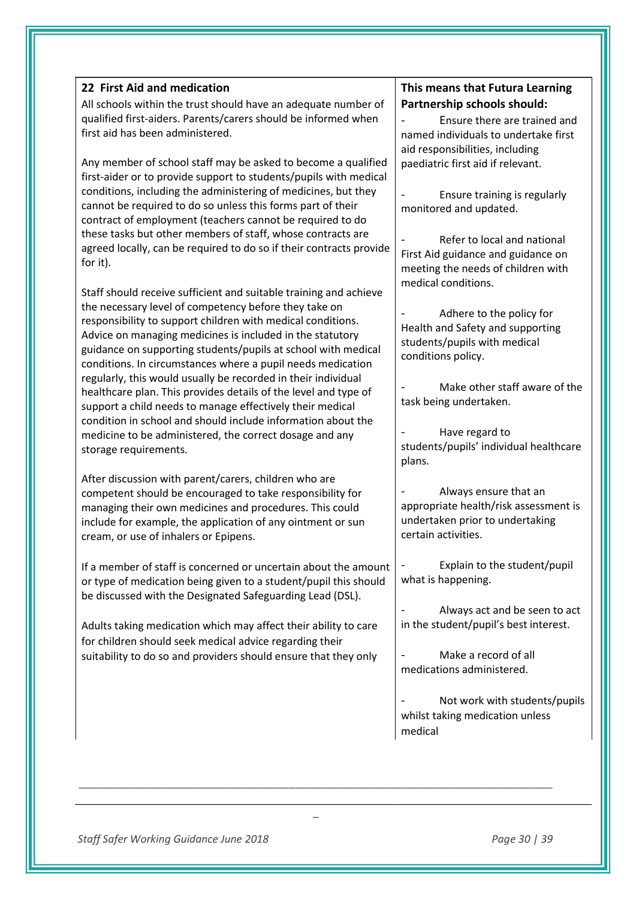| 22 First Aid and medication<br>All schools within the trust should have an adequate number of<br>qualified first-aiders. Parents/carers should be informed when<br>first aid has been administered.<br>Any member of school staff may be asked to become a qualified<br>first-aider or to provide support to students/pupils with medical<br>conditions, including the administering of medicines, but they<br>cannot be required to do so unless this forms part of their<br>contract of employment (teachers cannot be required to do                                                                                                                                                                                                     | <b>This</b><br>Part<br>nam<br>aid re<br>paed<br>moni     |
|---------------------------------------------------------------------------------------------------------------------------------------------------------------------------------------------------------------------------------------------------------------------------------------------------------------------------------------------------------------------------------------------------------------------------------------------------------------------------------------------------------------------------------------------------------------------------------------------------------------------------------------------------------------------------------------------------------------------------------------------|----------------------------------------------------------|
| these tasks but other members of staff, whose contracts are<br>agreed locally, can be required to do so if their contracts provide<br>for it).                                                                                                                                                                                                                                                                                                                                                                                                                                                                                                                                                                                              | First<br>meet                                            |
| Staff should receive sufficient and suitable training and achieve<br>the necessary level of competency before they take on<br>responsibility to support children with medical conditions.<br>Advice on managing medicines is included in the statutory<br>guidance on supporting students/pupils at school with medical<br>conditions. In circumstances where a pupil needs medication<br>regularly, this would usually be recorded in their individual<br>healthcare plan. This provides details of the level and type of<br>support a child needs to manage effectively their medical<br>condition in school and should include information about the<br>medicine to be administered, the correct dosage and any<br>storage requirements. | medi<br>Healt<br>stude<br>cond<br>task<br>stude<br>plans |
| After discussion with parent/carers, children who are<br>competent should be encouraged to take responsibility for<br>managing their own medicines and procedures. This could<br>include for example, the application of any ointment or sun<br>cream, or use of inhalers or Epipens.                                                                                                                                                                                                                                                                                                                                                                                                                                                       | appr<br>unde<br>certa                                    |
| If a member of staff is concerned or uncertain about the amount<br>or type of medication being given to a student/pupil this should<br>be discussed with the Designated Safeguarding Lead (DSL).                                                                                                                                                                                                                                                                                                                                                                                                                                                                                                                                            | what                                                     |
| Adults taking medication which may affect their ability to care<br>for children should seek medical advice regarding their<br>suitability to do so and providers should ensure that they only                                                                                                                                                                                                                                                                                                                                                                                                                                                                                                                                               | in the<br>medi                                           |
|                                                                                                                                                                                                                                                                                                                                                                                                                                                                                                                                                                                                                                                                                                                                             |                                                          |

*\_* 

# **This means that Futura Learning Partnership schools should:**

Ensure there are trained and ed individuals to undertake first esponsibilities, including liatric first aid if relevant.

Ensure training is regularly itored and updated.

Refer to local and national Aid guidance and guidance on ting the needs of children with ical conditions.

Adhere to the policy for th and Safety and supporting ents/pupils with medical litions policy.

Make other staff aware of the being undertaken.

Have regard to ents/pupils' individual healthcare  $\mathsf{s}$ .

- Always ensure that an opriate health/risk assessment is ertaken prior to undertaking ain activities.

Explain to the student/pupil t is happening.

Always act and be seen to act e student/pupil's best interest.

Make a record of all ications administered.

Not work with students/pupils whilst taking medication unless medical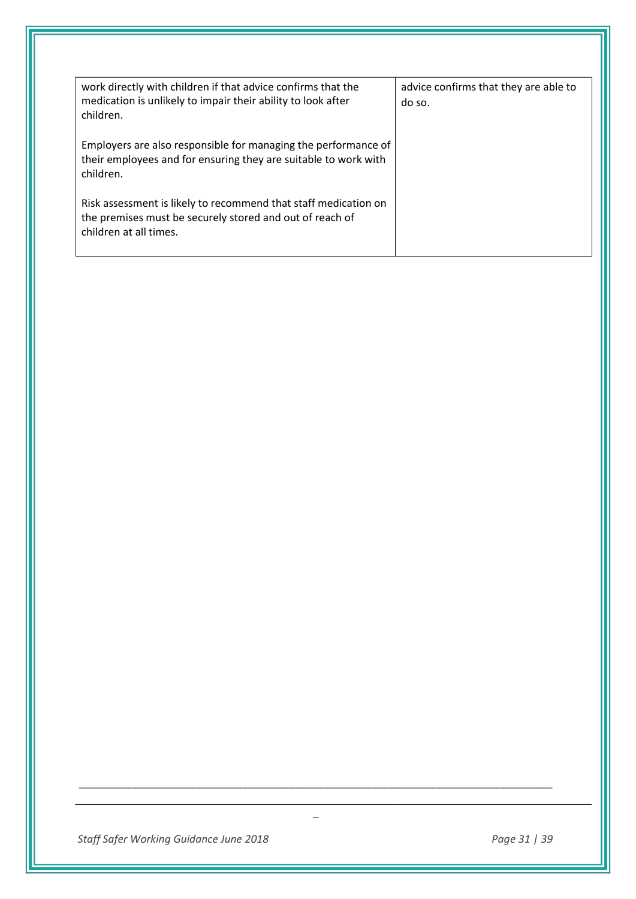| work directly with children if that advice confirms that the<br>medication is unlikely to impair their ability to look after<br>children.             | advice confirms that they are able to<br>do so. |
|-------------------------------------------------------------------------------------------------------------------------------------------------------|-------------------------------------------------|
| Employers are also responsible for managing the performance of<br>their employees and for ensuring they are suitable to work with<br>children.        |                                                 |
| Risk assessment is likely to recommend that staff medication on<br>the premises must be securely stored and out of reach of<br>children at all times. |                                                 |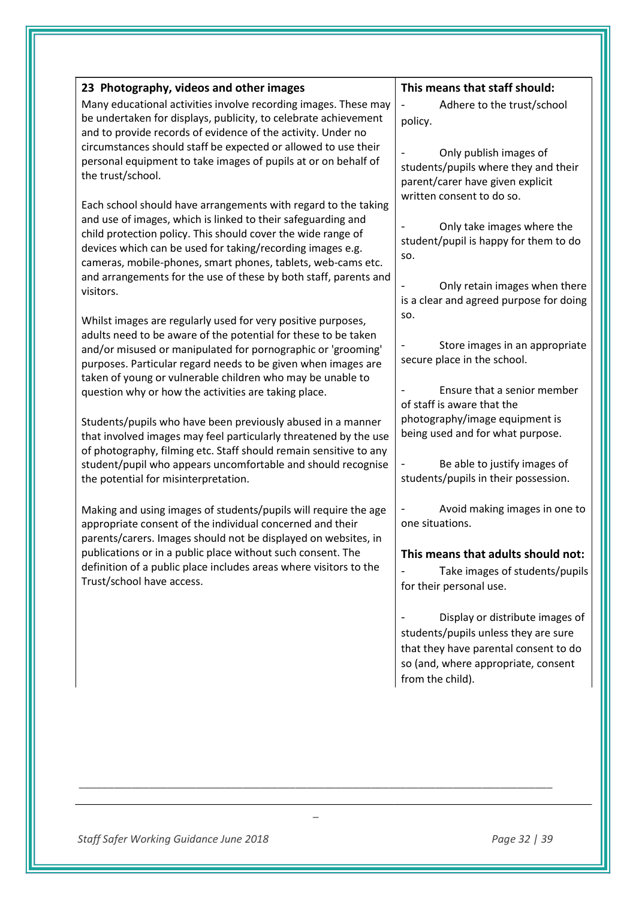| 23 Photography, videos and other images                                                                                          | This means that staff should:                                        |
|----------------------------------------------------------------------------------------------------------------------------------|----------------------------------------------------------------------|
| Many educational activities involve recording images. These may                                                                  | Adhere to the trust/school                                           |
| be undertaken for displays, publicity, to celebrate achievement                                                                  | policy.                                                              |
| and to provide records of evidence of the activity. Under no                                                                     |                                                                      |
| circumstances should staff be expected or allowed to use their                                                                   | Only publish images of                                               |
| personal equipment to take images of pupils at or on behalf of<br>the trust/school.                                              | students/pupils where they and their                                 |
|                                                                                                                                  | parent/carer have given explicit                                     |
| Each school should have arrangements with regard to the taking                                                                   | written consent to do so.                                            |
| and use of images, which is linked to their safeguarding and                                                                     | Only take images where the                                           |
| child protection policy. This should cover the wide range of                                                                     | student/pupil is happy for them to do                                |
| devices which can be used for taking/recording images e.g.                                                                       | SO.                                                                  |
| cameras, mobile-phones, smart phones, tablets, web-cams etc.<br>and arrangements for the use of these by both staff, parents and |                                                                      |
| visitors.                                                                                                                        | Only retain images when there                                        |
|                                                                                                                                  | is a clear and agreed purpose for doing                              |
| Whilst images are regularly used for very positive purposes,                                                                     | SO.                                                                  |
| adults need to be aware of the potential for these to be taken                                                                   |                                                                      |
| and/or misused or manipulated for pornographic or 'grooming'                                                                     | Store images in an appropriate<br>secure place in the school.        |
| purposes. Particular regard needs to be given when images are                                                                    |                                                                      |
| taken of young or vulnerable children who may be unable to<br>question why or how the activities are taking place.               | Ensure that a senior member                                          |
|                                                                                                                                  | of staff is aware that the                                           |
| Students/pupils who have been previously abused in a manner                                                                      | photography/image equipment is                                       |
| that involved images may feel particularly threatened by the use                                                                 | being used and for what purpose.                                     |
| of photography, filming etc. Staff should remain sensitive to any                                                                |                                                                      |
| student/pupil who appears uncomfortable and should recognise                                                                     | Be able to justify images of<br>students/pupils in their possession. |
| the potential for misinterpretation.                                                                                             |                                                                      |
| Making and using images of students/pupils will require the age                                                                  | Avoid making images in one to                                        |
| appropriate consent of the individual concerned and their                                                                        | one situations.                                                      |
| parents/carers. Images should not be displayed on websites, in                                                                   |                                                                      |
| publications or in a public place without such consent. The                                                                      | This means that adults should not:                                   |
| definition of a public place includes areas where visitors to the<br>Trust/school have access.                                   | Take images of students/pupils                                       |
|                                                                                                                                  | for their personal use.                                              |
|                                                                                                                                  | Display or distribute images of                                      |
|                                                                                                                                  | students/pupils unless they are sure                                 |
|                                                                                                                                  | that they have parental consent to do                                |
|                                                                                                                                  | so (and, where appropriate, consent                                  |
|                                                                                                                                  | from the child).                                                     |
|                                                                                                                                  |                                                                      |
|                                                                                                                                  |                                                                      |
|                                                                                                                                  |                                                                      |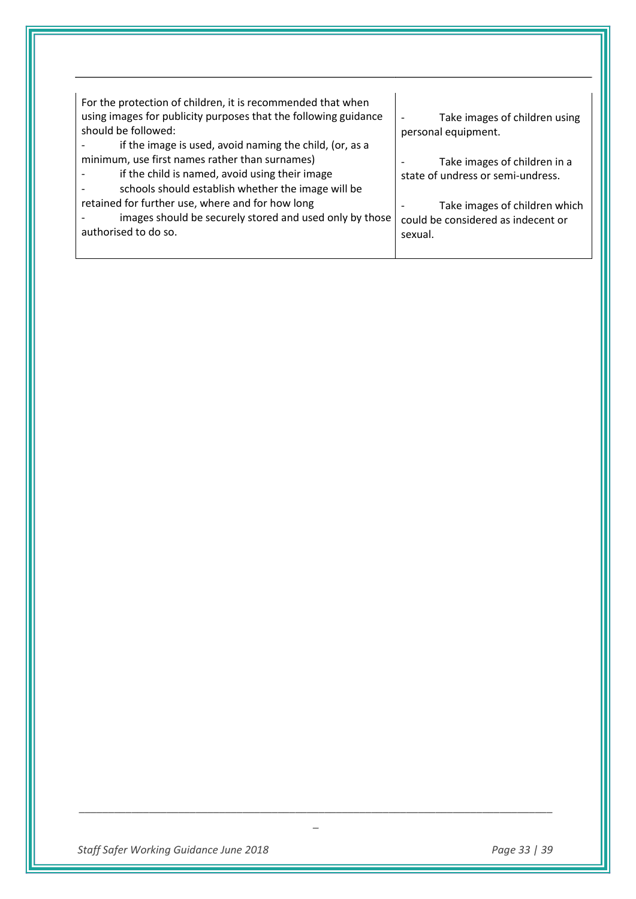| For the protection of children, it is recommended that when<br>using images for publicity purposes that the following guidance<br>should be followed:<br>if the image is used, avoid naming the child, (or, as a | Take images of children using<br>personal equipment.                           |
|------------------------------------------------------------------------------------------------------------------------------------------------------------------------------------------------------------------|--------------------------------------------------------------------------------|
| minimum, use first names rather than surnames)<br>if the child is named, avoid using their image<br>schools should establish whether the image will be                                                           | Take images of children in a<br>state of undress or semi-undress.              |
| retained for further use, where and for how long<br>images should be securely stored and used only by those<br>authorised to do so.                                                                              | Take images of children which<br>could be considered as indecent or<br>sexual. |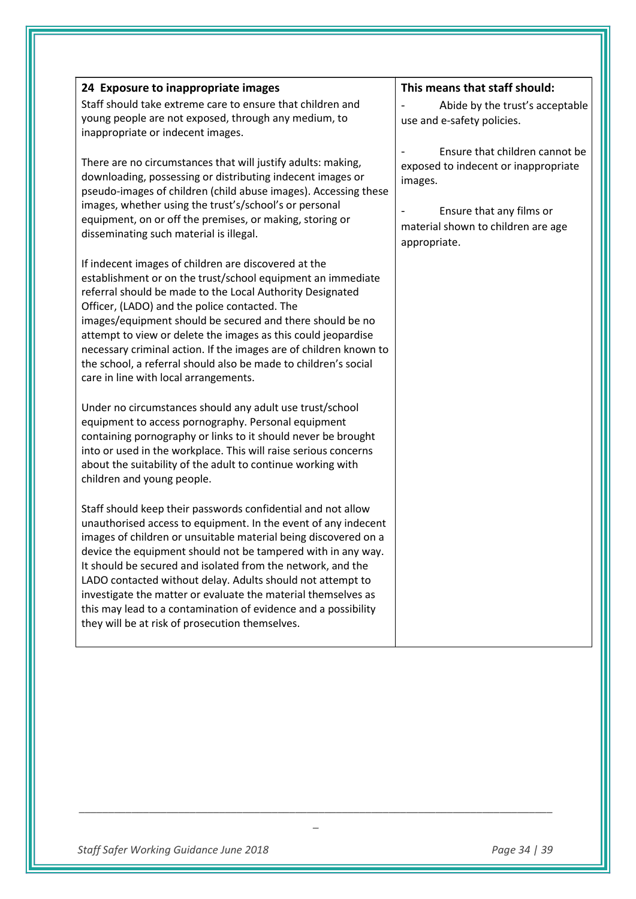| 24 Exposure to inappropriate images                                                                                                                                                                                                                                                                                                                                                                                                                                                                                                                                                  | This means that staff should:                                                                                                                                       |
|--------------------------------------------------------------------------------------------------------------------------------------------------------------------------------------------------------------------------------------------------------------------------------------------------------------------------------------------------------------------------------------------------------------------------------------------------------------------------------------------------------------------------------------------------------------------------------------|---------------------------------------------------------------------------------------------------------------------------------------------------------------------|
| Staff should take extreme care to ensure that children and<br>young people are not exposed, through any medium, to<br>inappropriate or indecent images.                                                                                                                                                                                                                                                                                                                                                                                                                              | Abide by the trust's acceptable<br>use and e-safety policies.                                                                                                       |
| There are no circumstances that will justify adults: making,<br>downloading, possessing or distributing indecent images or<br>pseudo-images of children (child abuse images). Accessing these<br>images, whether using the trust's/school's or personal<br>equipment, on or off the premises, or making, storing or<br>disseminating such material is illegal.                                                                                                                                                                                                                       | Ensure that children cannot be<br>exposed to indecent or inappropriate<br>images.<br>Ensure that any films or<br>material shown to children are age<br>appropriate. |
| If indecent images of children are discovered at the<br>establishment or on the trust/school equipment an immediate<br>referral should be made to the Local Authority Designated<br>Officer, (LADO) and the police contacted. The<br>images/equipment should be secured and there should be no<br>attempt to view or delete the images as this could jeopardise<br>necessary criminal action. If the images are of children known to<br>the school, a referral should also be made to children's social<br>care in line with local arrangements.                                     |                                                                                                                                                                     |
| Under no circumstances should any adult use trust/school<br>equipment to access pornography. Personal equipment<br>containing pornography or links to it should never be brought<br>into or used in the workplace. This will raise serious concerns<br>about the suitability of the adult to continue working with<br>children and young people.                                                                                                                                                                                                                                     |                                                                                                                                                                     |
| Staff should keep their passwords confidential and not allow<br>unauthorised access to equipment. In the event of any indecent<br>images of children or unsuitable material being discovered on a<br>device the equipment should not be tampered with in any way.<br>It should be secured and isolated from the network, and the<br>LADO contacted without delay. Adults should not attempt to<br>investigate the matter or evaluate the material themselves as<br>this may lead to a contamination of evidence and a possibility<br>they will be at risk of prosecution themselves. |                                                                                                                                                                     |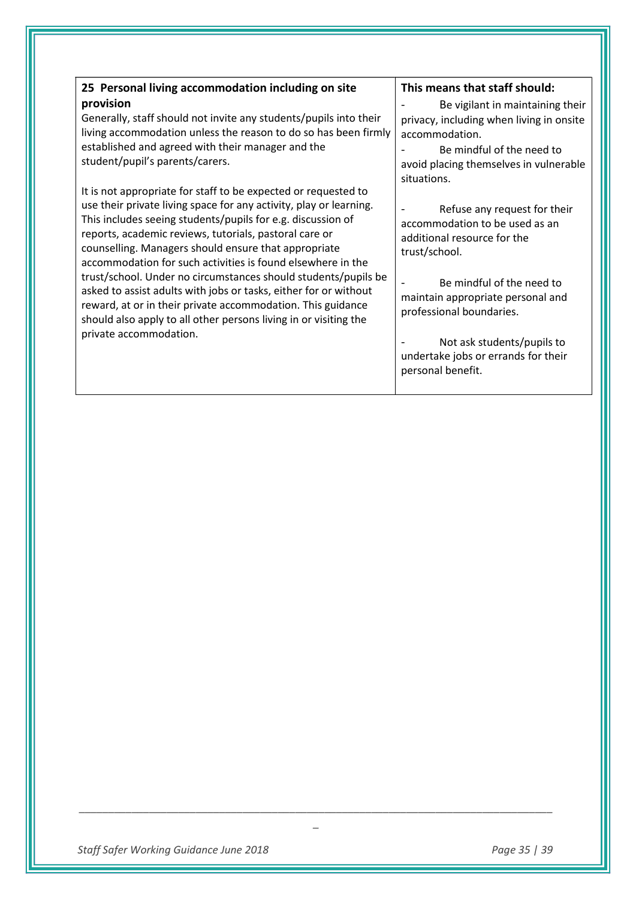| 25 Personal living accommodation including on site                                                                                                                                                                                                                                                                                                                                   | This means that staff should:                                                                                               |
|--------------------------------------------------------------------------------------------------------------------------------------------------------------------------------------------------------------------------------------------------------------------------------------------------------------------------------------------------------------------------------------|-----------------------------------------------------------------------------------------------------------------------------|
| provision<br>Generally, staff should not invite any students/pupils into their<br>living accommodation unless the reason to do so has been firmly<br>established and agreed with their manager and the                                                                                                                                                                               | Be vigilant in maintaining their<br>privacy, including when living in onsite<br>accommodation.<br>Be mindful of the need to |
| student/pupil's parents/carers.                                                                                                                                                                                                                                                                                                                                                      | avoid placing themselves in vulnerable<br>situations.                                                                       |
| It is not appropriate for staff to be expected or requested to<br>use their private living space for any activity, play or learning.<br>This includes seeing students/pupils for e.g. discussion of<br>reports, academic reviews, tutorials, pastoral care or<br>counselling. Managers should ensure that appropriate<br>accommodation for such activities is found elsewhere in the | Refuse any request for their<br>accommodation to be used as an<br>additional resource for the<br>trust/school.              |
| trust/school. Under no circumstances should students/pupils be<br>asked to assist adults with jobs or tasks, either for or without<br>reward, at or in their private accommodation. This guidance<br>should also apply to all other persons living in or visiting the                                                                                                                | Be mindful of the need to<br>maintain appropriate personal and<br>professional boundaries.                                  |
| private accommodation.                                                                                                                                                                                                                                                                                                                                                               | Not ask students/pupils to<br>undertake jobs or errands for their<br>personal benefit.                                      |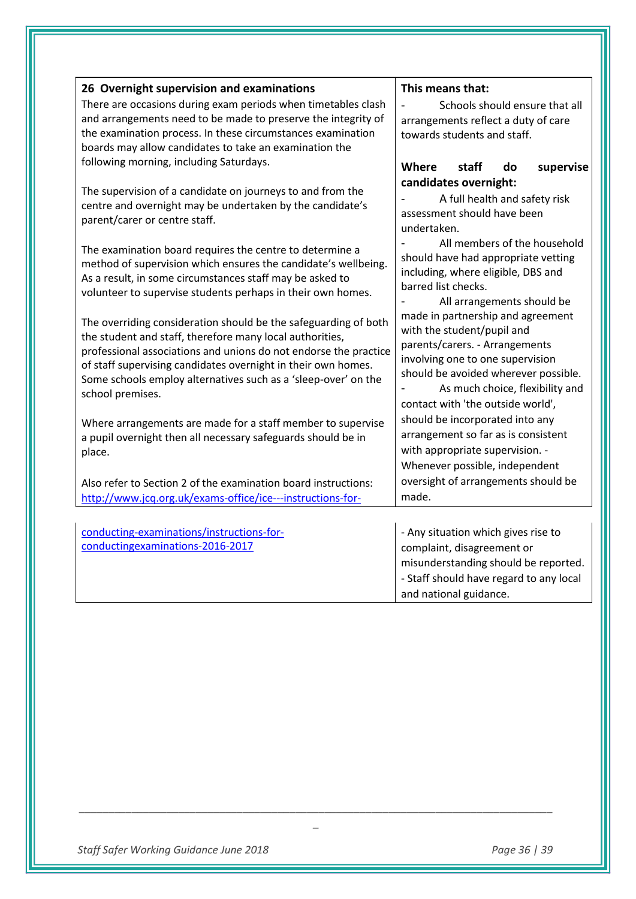| 26 Overnight supervision and examinations                                                                                   | This means that:                        |  |
|-----------------------------------------------------------------------------------------------------------------------------|-----------------------------------------|--|
| There are occasions during exam periods when timetables clash                                                               | Schools should ensure that all          |  |
| and arrangements need to be made to preserve the integrity of                                                               | arrangements reflect a duty of care     |  |
| the examination process. In these circumstances examination                                                                 | towards students and staff.             |  |
| boards may allow candidates to take an examination the                                                                      |                                         |  |
| following morning, including Saturdays.                                                                                     | Where<br>staff<br>do<br>supervise       |  |
|                                                                                                                             | candidates overnight:                   |  |
| The supervision of a candidate on journeys to and from the                                                                  | A full health and safety risk           |  |
| centre and overnight may be undertaken by the candidate's                                                                   | assessment should have been             |  |
| parent/carer or centre staff.                                                                                               | undertaken.                             |  |
|                                                                                                                             | All members of the household            |  |
| The examination board requires the centre to determine a                                                                    | should have had appropriate vetting     |  |
| method of supervision which ensures the candidate's wellbeing.<br>As a result, in some circumstances staff may be asked to  | including, where eligible, DBS and      |  |
| volunteer to supervise students perhaps in their own homes.                                                                 | barred list checks.                     |  |
|                                                                                                                             | All arrangements should be              |  |
|                                                                                                                             | made in partnership and agreement       |  |
| The overriding consideration should be the safeguarding of both<br>the student and staff, therefore many local authorities, | with the student/pupil and              |  |
| professional associations and unions do not endorse the practice                                                            | parents/carers. - Arrangements          |  |
| of staff supervising candidates overnight in their own homes.                                                               | involving one to one supervision        |  |
| Some schools employ alternatives such as a 'sleep-over' on the                                                              | should be avoided wherever possible.    |  |
| school premises.                                                                                                            | As much choice, flexibility and         |  |
|                                                                                                                             | contact with 'the outside world',       |  |
| Where arrangements are made for a staff member to supervise                                                                 | should be incorporated into any         |  |
| a pupil overnight then all necessary safeguards should be in                                                                | arrangement so far as is consistent     |  |
| place.                                                                                                                      | with appropriate supervision. -         |  |
|                                                                                                                             | Whenever possible, independent          |  |
| Also refer to Section 2 of the examination board instructions:                                                              | oversight of arrangements should be     |  |
| http://www.jcq.org.uk/exams-office/ice---instructions-for-                                                                  | made.                                   |  |
|                                                                                                                             |                                         |  |
| conducting-examinations/instructions-for-                                                                                   | - Any situation which gives rise to     |  |
| conductingexaminations-2016-2017                                                                                            | complaint, disagreement or              |  |
|                                                                                                                             | misunderstanding should be reported.    |  |
|                                                                                                                             | - Staff should have regard to any local |  |
|                                                                                                                             | and national guidance.                  |  |
|                                                                                                                             |                                         |  |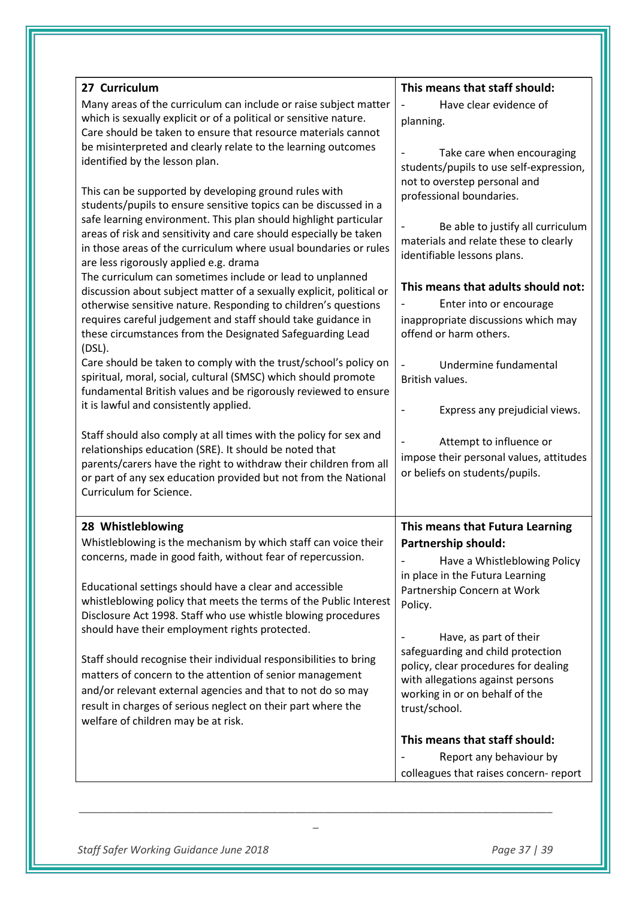| 27 Curriculum<br>Many areas of the curriculum can include or raise subject matter<br>which is sexually explicit or of a political or sensitive nature.<br>Care should be taken to ensure that resource materials cannot<br>be misinterpreted and clearly relate to the learning outcomes<br>identified by the lesson plan.<br>This can be supported by developing ground rules with<br>students/pupils to ensure sensitive topics can be discussed in a<br>safe learning environment. This plan should highlight particular<br>areas of risk and sensitivity and care should especially be taken<br>in those areas of the curriculum where usual boundaries or rules<br>are less rigorously applied e.g. drama<br>The curriculum can sometimes include or lead to unplanned<br>discussion about subject matter of a sexually explicit, political or<br>otherwise sensitive nature. Responding to children's questions<br>requires careful judgement and staff should take guidance in<br>these circumstances from the Designated Safeguarding Lead<br>$(DSL)$ .<br>Care should be taken to comply with the trust/school's policy on<br>spiritual, moral, social, cultural (SMSC) which should promote<br>fundamental British values and be rigorously reviewed to ensure<br>it is lawful and consistently applied.<br>Staff should also comply at all times with the policy for sex and<br>relationships education (SRE). It should be noted that<br>parents/carers have the right to withdraw their children from all<br>or part of any sex education provided but not from the National | This means that staff should:<br>Have clear evidence of<br>$\overline{\phantom{a}}$<br>planning.<br>Take care when encouraging<br>students/pupils to use self-expression,<br>not to overstep personal and<br>professional boundaries.<br>Be able to justify all curriculum<br>materials and relate these to clearly<br>identifiable lessons plans.<br>This means that adults should not:<br>Enter into or encourage<br>inappropriate discussions which may<br>offend or harm others.<br>Undermine fundamental<br>British values.<br>Express any prejudicial views.<br>Attempt to influence or<br>impose their personal values, attitudes<br>or beliefs on students/pupils. |
|-------------------------------------------------------------------------------------------------------------------------------------------------------------------------------------------------------------------------------------------------------------------------------------------------------------------------------------------------------------------------------------------------------------------------------------------------------------------------------------------------------------------------------------------------------------------------------------------------------------------------------------------------------------------------------------------------------------------------------------------------------------------------------------------------------------------------------------------------------------------------------------------------------------------------------------------------------------------------------------------------------------------------------------------------------------------------------------------------------------------------------------------------------------------------------------------------------------------------------------------------------------------------------------------------------------------------------------------------------------------------------------------------------------------------------------------------------------------------------------------------------------------------------------------------------------------------------------------|----------------------------------------------------------------------------------------------------------------------------------------------------------------------------------------------------------------------------------------------------------------------------------------------------------------------------------------------------------------------------------------------------------------------------------------------------------------------------------------------------------------------------------------------------------------------------------------------------------------------------------------------------------------------------|
| Curriculum for Science.<br>28 Whistleblowing<br>Whistleblowing is the mechanism by which staff can voice their<br>concerns, made in good faith, without fear of repercussion.<br>Educational settings should have a clear and accessible<br>whistleblowing policy that meets the terms of the Public Interest<br>Disclosure Act 1998. Staff who use whistle blowing procedures<br>should have their employment rights protected.<br>Staff should recognise their individual responsibilities to bring<br>matters of concern to the attention of senior management<br>and/or relevant external agencies and that to not do so may<br>result in charges of serious neglect on their part where the<br>welfare of children may be at risk.                                                                                                                                                                                                                                                                                                                                                                                                                                                                                                                                                                                                                                                                                                                                                                                                                                                   | This means that Futura Learning<br><b>Partnership should:</b><br>Have a Whistleblowing Policy<br>in place in the Futura Learning<br>Partnership Concern at Work<br>Policy.<br>Have, as part of their<br>safeguarding and child protection<br>policy, clear procedures for dealing<br>with allegations against persons<br>working in or on behalf of the<br>trust/school.<br>This means that staff should:<br>Report any behaviour by<br>colleagues that raises concern- report                                                                                                                                                                                             |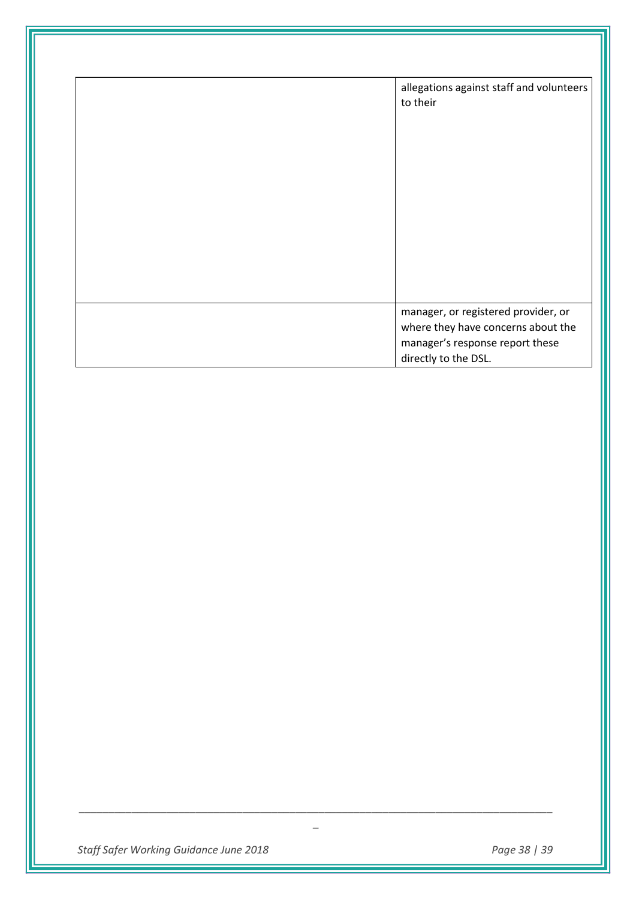| allegations against staff and volunteers<br>to their                                                                                 |
|--------------------------------------------------------------------------------------------------------------------------------------|
| manager, or registered provider, or<br>where they have concerns about the<br>manager's response report these<br>directly to the DSL. |